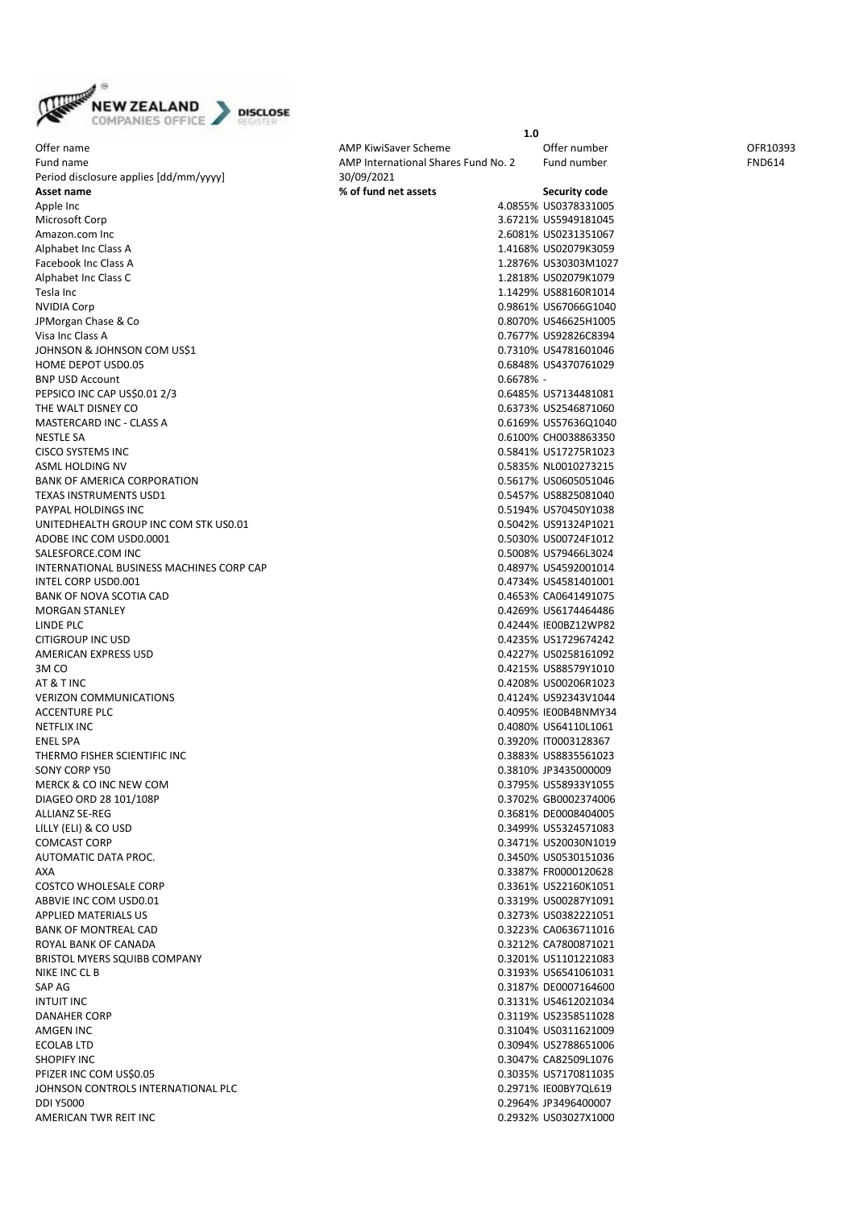

Offer name and the CFR10393 CHEM AMP KiwiSaver Scheme CFR10393 CHEM AMP KiwiSaver Scheme CHEM OFR10393 Fund name and the Compact of the AMP International Shares Fund No. 2 Fund number FOD614 Period disclosure applies [dd/mm/yyyy] 30/09/2021 **Asset name 8 Asset name 8** *C* Apple Inc 4.0855% US0378331005 Microsoft Corp Amazon.com Inc. Alphabet Inc Class A. Facebook Inc Class A Alphabet Inc Class C Tesla Inc 1.1429% US88160R1014 NVIDIA Corp 0.9861% US67066G1040 JPMorgan Chase & Co. Visa Inc Class A 0.7677% US92826C8394 JOHNSON & JOHNSON COM US\$1 HOME DEPOT USD0.05 BNP USD Account PEPSICO INC CAP US\$0.01 2/3 THE WALT DISNEY CO. MASTERCARD INC - CLASS A NESTLE SA 0.6100% CH0038863350 **CISCO SYSTEMS INC** ASML HOLDING NV BANK OF AMERICA CORPORATION TEXAS INSTRUMENTS USD1 PAYPAL HOLDINGS INC UNITEDHEALTH GROUP INC COM STK US0.01 ADOBE INC COM USD0.0001 SALESFORCE.COM INC INTERNATIONAL BUSINESS MACHINES CORP CAP INTEL CORP USD0.001 BANK OF NOVA SCOTIA CAD **MORGAN STANLEY** LINDE PLC 0.4244% IE00BZ12WP82 CITIGROUP INC USD AMERICAN EXPRESS USD<br>3M CO 3M CO 0.4215% US88579Y1010 AT & T INC 0.4208% US00206R1023 VERIZON COMMUNICATIONS ACCENTURE PLC<br>NETFLIX INC NETFLIX INC 0.4080% US64110L1061 ENEL SPA 0.3920% IT0003128367 THERMO FISHER SCIENTIFIC INC SONY CORP Y50 MERCK & CO INC NEW COM DIAGEO ORD 28 101/108P **ALLIANZ SE-REG** LILLY (ELI) & CO USD COMCAST CORP AUTOMATIC DATA PROC.<br>AXA AXA 0.3387% FR0000120628 COSTCO WHOLESALE CORP ABBVIE INC COM USD0.01 APPLIED MATERIALS US BANK OF MONTREAL CAD ROYAL BANK OF CANADA BRISTOL MYERS SQUIBB COMPANY<br>NIKE INC CL B NIKE INC CL B 0.3193% US6541061031 SAP AG 0.3187% DE0007164600 INTUIT INC 0.3131% US4612021034 DANAHER CORP AMGEN INC 200311621009 ECOLAB LTD 0.3094% US2788651006 SHOPIFY INC 0.3047% CA82509L1076 PFIZER INC COM US\$0.05 JOHNSON CONTROLS INTERNATIONAL PLC DDI Y5000 0.2964% JP3496400007 AMERICAN TWR REIT INC

|         | Security code |
|---------|---------------|
| 4.0855% | US0378331005  |
| 3.6721% | US5949181045  |
| 2.6081% | US0231351067  |
| 1.4168% | US02079K3059  |
| 1.2876% | US30303M1027  |
| 1.2818% | US02079K1079  |
| 1.1429% | US88160R1014  |
| 0.9861% | US67066G1040  |
| 0.8070% | US46625H1005  |
| 0.7677% | US92826C8394  |
| 0.7310% | US4781601046  |
| 0.6848% | US4370761029  |
| 0.6678% |               |
| 0.6485% | US7134481081  |
| 0.6373% | US2546871060  |
| 0.6169% | US57636Q1040  |
| 0.6100% | CH0038863350  |
| 0.5841% | US17275R1023  |
| 0.5835% | NL0010273215  |
| 0.5617% | US0605051046  |
| 0.5457% | US8825081040  |
| 0.5194% | US70450Y1038  |
| 0.5042% | US91324P1021  |
| 0.5030% | US00724F1012  |
| 0.5008% | US79466L3024  |
| 0.4897% | US4592001014  |
| 0.4734% | US4581401001  |
| 0.4653% | CA0641491075  |
| 0.4269% | US6174464486  |
| 0.4244% | IE00BZ12WP82  |
| 0.4235% | US1729674242  |
| 0.4227% | US0258161092  |
| 0.4215% | US88579Y1010  |
| 0.4208% | US00206R1023  |
| 0.4124% | US92343V1044  |
| 0.4095% | IE00B4BNMY34  |
| 0.4080% | US64110L1061  |
| 0.3920% | IT0003128367  |
| 0.3883% | US8835561023  |
| 0.3810% | JP3435000009  |
| 0.3795% | US58933Y1055  |
| 0.3702% | GB0002374006  |
| 0.3681% | DE0008404005  |
| 0.3499% | US5324571083  |
| 0.3471% | US20030N1019  |
| 0.3450% | US0530151036  |
| 0.3387% | FR0000120628  |
| 0.3361% | US22160K1051  |
| 0.3319% | US00287Y1091  |
| 0.3273% | US0382221051  |
| 0.3223% | CA0636711016  |
| 0.3212% | CA7800871021  |
| 0.3201% | US1101221083  |
| 0.3193% | US6541061031  |
| 0.3187% | DE0007164600  |
| 0.3131% | US4612021034  |
| 0.3119% | US2358511028  |
| 0.3104% | US0311621009  |
| 0.3094% | US2788651006  |
| 0.3047% | CA82509L1076  |
| 0.3035% | US7170811035  |
| 0.2971% | IE00BY7QL619  |
| 0.2964% | JP3496400007  |
| 0.2932% | US03027X1000  |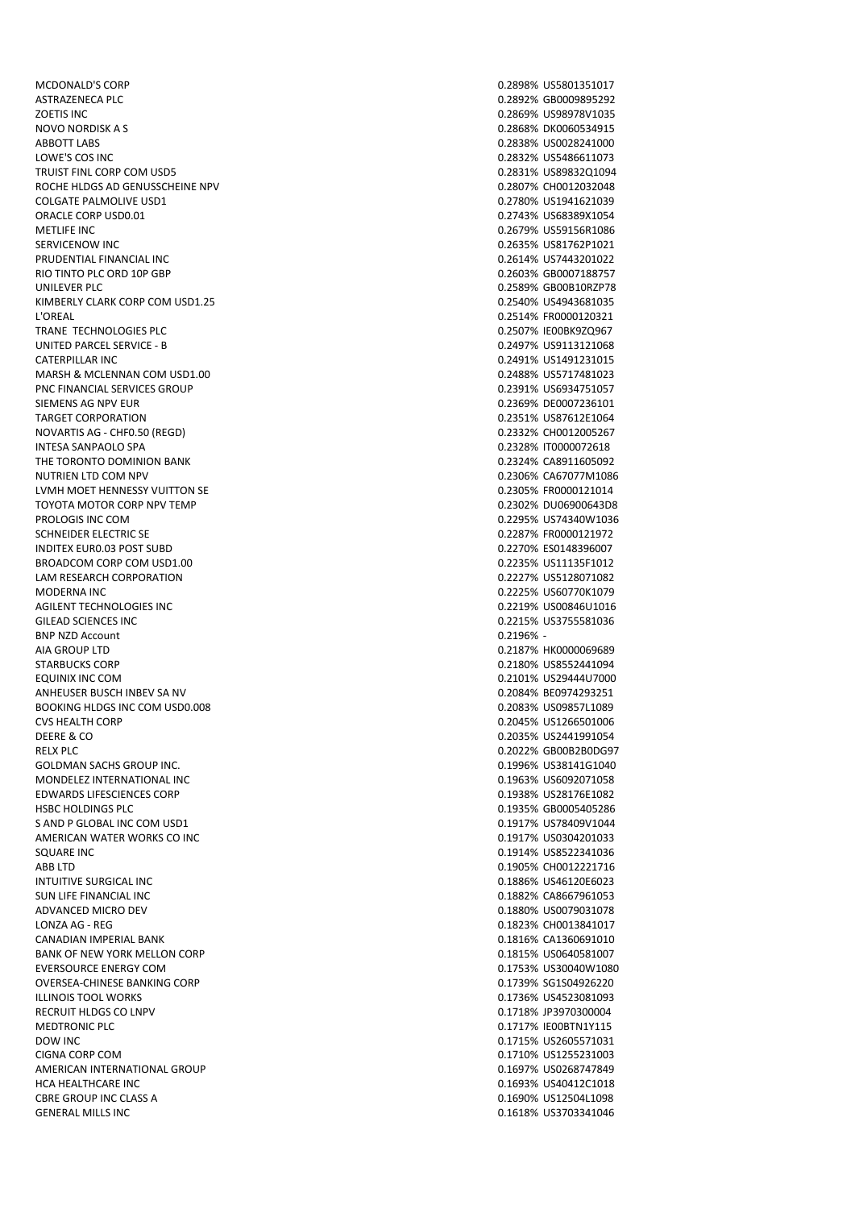MCDONALD'S CORP 0.2898% US5801351017 ASTRAZENECA PLC 0.2892% GB0009895292 ZOETIS INC 0.2869% US98978V1035 NOVO NORDISK A S 0.2868% DK0060534915 ABBOTT LABS 0.2838% US0028241000 LOWE'S COS INC 0.2832% US5486611073 TRUIST FINL CORP COM USD5<br>
ROCHE HLDGS AD GENUSSCHEINE NPV<br>
0.2807% CH0012032048 ROCHE HLDGS AD GENUSSCHEINE NPV COLGATE PALMOLIVE USD1 0.2780% US1941621039 ORACLE CORP USD0.01 0.2743% US68389X1054 METLIFE INC 0.2679% US59156R1086 SERVICENOW INC 0.2635% US81762P1021 PRUDENTIAL FINANCIAL INC RIO TINTO PLC ORD 10P GBP 0.2603% GB0007188757 UNILEVER PLC 0.2589% GB00B10RZP78 KIMBERLY CLARK CORP COM USD1.25 0.2540% US4943681035 L'OREAL 0.2514% FR0000120321 TRANE TECHNOLOGIES PLC **CONTRANE TECHNOLOGIES PLC** UNITED PARCEL SERVICE - B 0.2497% US9113121068 CATERPILLAR INC. 2004 0.2491% US1491231015 MARSH & MCLENNAN COM USD1.00 0.2488% US5717481023 PNC FINANCIAL SERVICES GROUP **DESCRIPTION OF A SERVICES** CROSS OF A SERVICES GROUP OF A SERVICES GROUP OF A SERVICE SCRIPTION OF A SERVICE SCRIPTION OF A SERVICE SCRIPTION OF A SERVICE SCRIPTION OF A SERVICE SCRIPTION OF A SIEMENS AG NPV EUR **DEOLOGY AG NEW SIGN AG NOTE A CONTRACT A CONTRACT A CONTRACT ON A CONTRACT OF CONTRACT AND** TARGET CORPORATION 0.2351% US87612E1064 NOVARTIS AG - CHF0.50 (REGD) 0.2332% CH0012005267 INTESA SANPAOLO SPA 0.2328% IT0000072618 THE TORONTO DOMINION BANK **CARGO INTERNATION** CARGO INTERNATIONAL CARGO INTERNATIONAL CARGO INTERNATIONAL CARGO IN NUTRIEN LTD COM NPV 8 and 100 minutes of the community of the community of the community of the community of the community of the community of the community of the community of the community of the community of the communi LVMH MOET HENNESSY VUITTON SE **1.2305 1.2305 1.2305 1.2305 1.2305 1.2305 1.2305 1.2305 1.2305 1.2305 1.2305 1.2305 1.2305 1.2305 1.2305 1.2305 1.230 1.230 1.230 1.230 1.230 1.230 1.230 1.230 1.230 1.230 1.230 1.230 1.230 1** TOYOTA MOTOR CORP NPV TEMP **DESCRIPTION OF A SECURITY OF A SECULAR SECURITY OF A SECURITY OF A SECURITY OF A SECURITY OF A SECURITY OF A SECURITY OF A SECURITY OF A SECURITY OF A SECURITY OF A SECURITY OF A SECURITY OF A S** PROLOGIS INC COM **2.2295% US74340W1036** SCHNEIDER ELECTRIC SE 0.2287% FR0000121972 INDITEX EUR0.03 POST SUBD 0.2270% ES0148396007 BROADCOM CORP COM USD1.00<br>
LAM RESEARCH CORPORATION<br>
LAM RESEARCH CORPORATION LAM RESEARCH CORPORATION MODERNA INC 0.2225% US60770K1079 AGILENT TECHNOLOGIES INC GILEAD SCIENCES INC 0.2215% US3755581036 BNP NZD Account<br>AIA GROUP LTD STARBUCKS CORP 0.2180% US8552441094 EQUINIX INC COM 0.2101% US29444U7000 ANHEUSER BUSCH INBEV SA NV 8 20084% BE0974293251 BOOKING HLDGS INC COM USD0.008 0.2083% US09857L1089 CVS HEALTH CORP 0.2045% US1266501006 DEERE & CO 0.2035% US2441991054 RELX PLC 0.2022% GB00B2B0DG97 GOLDMAN SACHS GROUP INC. **0.1996% US38141G1040** MONDELEZ INTERNATIONAL INC **CONTRACT CONTRACT CONTRACT CONTRACT CONTRACT CONTRACT CONTRACT CONTRACT CONTRACT CONTRACT CONTRACT CONTRACT CONTRACT CONTRACT CONTRACT CONTRACT CONTRACT CONTRACT CONTRACT CONTRACT CONTRACT CONTR** EDWARDS LIFESCIENCES CORP 0.1938% US28176E1082 HSBC HOLDINGS PLC 0.1935% GB0005405286 S AND P GLOBAL INC COM USD1 and the state of the state of the state of the state of the state of the state of t<br>AMERICAN WATER WORKS CO INC and the state of the state of the state of the state of the state of the state of AMERICAN WATER WORKS CO INC SQUARE INC 0.1914% US8522341036 ABB LTD 0.1905% CH0012221716 INTUITIVE SURGICAL INC 0.1886% US46120E6023 SUN LIFE FINANCIAL INC 0.1882% CA8667961053 ADVANCED MICRO DEV 0.1880% US0079031078 LONZA AG - REG 0.1823% CH0013841017 CANADIAN IMPERIAL BANK 0.1816% CA1360691010 BANK OF NEW YORK MELLON CORP **0.1815% US0640581007** EVERSOURCE ENERGY COM **EXERCISE AND EXERCISE ACCOMMUNICATE COMMUNICATE ACCOMMUNICATE COMMUNICATE COMMUNICATE COMMUNICATE COMMUNICATE COMMUNICATE COMMUNICATE COMMUNICATE COMMUNICATE COMMUNICATE COMMUNICATE COMMUNICATE COMMU** OVERSEA-CHINESE BANKING CORP 0.1739% SG1S04926220 ILLINOIS TOOL WORKS 0.1736% US4523081093 RECRUIT HLDGS CO LNPV **0.1718% IP3970300004** MEDTRONIC PLC **CONTROLL CONTROL** CONTROLLER CONTROLLER CONTROLLER CONTROLLER CONTROLLER CONTROLLER CONTROLLER CONTROLLER CONTROLLER CONTROLLER CONTROLLER CONTROLLER CONTROLLER CONTROLLER CONTROLLER CONTROLLER CONTROLLER CO DOW INC 0.1715% US2605571031 CIGNA CORP COM 0.1710% US1255231003 AMERICAN INTERNATIONAL GROUP 0.1697% US0268747849 HCA HEALTHCARE INC 0.1693% US40412C1018 CBRE GROUP INC CLASS A 0.1690% US12504L1098 GENERAL MILLS INC 0.1618% US3703341046

 $0.2196%$  -0.2187% HK0000069689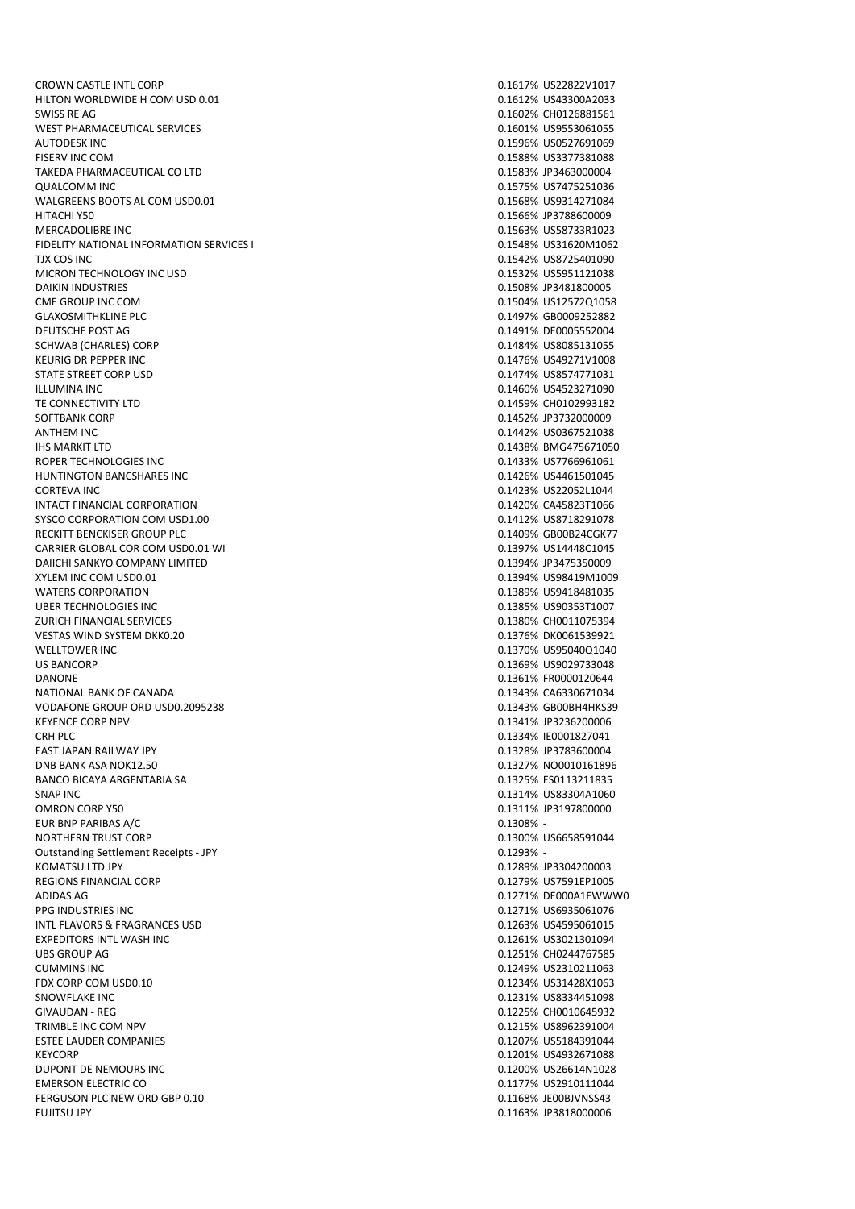CROWN CASTLE INTL CORP **CROWN CASTLE INTL** CORP **1.1617%** US22822V1017 HILTON WORLDWIDE H COM USD 0.01 0.1612% US43300A2033 SWISS RE AG 0.1602% CH0126881561 WEST PHARMACEUTICAL SERVICES **CONSUMING THE CONSUMING OF A SERVICES 0.1601% US9553061055** AUTODESK INC 0.1596% US0527691069 FISERV INC COM 0.1588% US3377381088 TAKEDA PHARMACEUTICAL CO LTD **1.2583 CONTRACT AND CONTRACT ACCOMPT** 0.1583% JP3463000004 QUALCOMM INC 0.1575% US7475251036 WALGREENS BOOTS AL COM USD0.01 **0.1568% US9314271084** HITACHI Y50 0.1566% JP3788600009 MERCADOLIBRE INC 0.1563% US58733R1023 FIDELITY NATIONAL INFORMATION SERVICES I CHARGE CONSUMING AND RESERVED ON A SERVICES I CHARGE CONSUMING A SERVICE S TJX COS INC 0.1542% US8725401090 MICRON TECHNOLOGY INC USD **CONSUMITED ASSAULT AND A CONSUMITED ASSAULT AND A CONSUMITED ASSAULT AND A CONSUMITED A CONSUMITION** DAIKIN INDUSTRIES 0.1508% JP3481800005 CME GROUP INC COM 0.1504% US12572Q1058 GLAXOSMITHKLINE PLC 6. 2008 0.1497% GB0009252882 DEUTSCHE POST AG 0.1491% DE0005552004 SCHWAB (CHARLES) CORP 0.1484% US8085131055 KEURIG DR PEPPER INC 0.1476% US49271V1008 STATE STREET CORP USD 6.1474% US8574771031 ILLUMINA INC 0.1460% US4523271090 TE CONNECTIVITY LTD **TE CONNECTIVITY LTD** SOFTBANK CORP 0.1452% JP3732000009 ANTHEM INC 0.1442% US0367521038 IHS MARKIT LTD 0.1438% BMG475671050 ROPER TECHNOLOGIES INC<br>
ROPER TECHNOLOGIES INC HUNTINGTON BANCSHARES INC **CONTRACT CONTRACT CONTRACT CONTRACT CONTRACT CONTRACT CONTRACT CONTRACT CONTRACT CONTRACT CONTRACT CONTRACT CONTRACT CONTRACT CONTRACT CONTRACT CONTRACT CONTRACT CONTRACT CONTRACT CONTRACT CONTRA** CORTEVA INC 0.1423% US22052L1044 INTACT FINANCIAL CORPORATION 0.1420% CA45823T1066 SYSCO CORPORATION COM USD1.00 0.1412% US8718291078 RECKITT BENCKISER GROUP PLC **CONTROLLER IN THE CONTROLLER CONTROLLER AND THE CONTROLLER CONTROLLER CONTROLLER** CARRIER GLOBAL COR COM USD0.01 WI 0.1397% US14448C1045 DAIICHI SANKYO COMPANY LIMITED 0.1394% JP3475350009 WATERS CORPORATION 0.1389% US9418481035 UBER TECHNOLOGIES INC 0.1385% US90353T1007 ZURICH FINANCIAL SERVICES 0.1380% CH0011075394 VESTAS WIND SYSTEM DKK0.20 0.1376% DK0061539921 US BANCORP 0.1369% US9029733048 DANONE 0.1361% FR0000120644 NATIONAL BANK OF CANADA 0.1343% CA6330671034 VODAFONE GROUP ORD USD0.2095238 0.1343% GB00BH4HKS39 KEYENCE CORP NPV 0.1341% JP3236200006 CRH PLC 0.1334% IE0001827041 EAST JAPAN RAILWAY JPY 0.1328% JP3783600004 DNB BANK ASA NOK12.50 0.1327% NO0010161896 BANCO BICAYA ARGENTARIA SA 0.1325% ES0113211835 SNAP INC 0.1314% US83304A1060 OMRON CORP Y50 0.1311% JP3197800000 EUR BNP PARIBAS A/C 0.1308% - 0.1308% - 0.1308% - 0.1308% - 0.1308% - 0.1308% - 0.1308% - 0.1308% - 0.1308% -NORTHERN TRUST CORP 0.1300% US6658591044 Outstanding Settlement Receipts - JPY 0.1293% - KOMATSU LTD JPY 0.1289% JP3304200003 REGIONS FINANCIAL CORP 0.1279% US7591EP1005 ADIDAS AG 0.1271% DE000A1EWWW0 PPG INDUSTRIES INC 0.1271% US6935061076 INTL FLAVORS & FRAGRANCES USD 0.1263% US4595061015 EXPEDITORS INTL WASH INC **EXPEDITORS INTL** WASH INC UBS GROUP AG 0.1251% CH0244767585 FDX CORP COM USD0.10 0.1234% US31428X1063 SNOWFLAKE INC **SUPPOSE INCOME ARE INCOME AND SUPPOSE INCONEXUS ASSESSED A**  $0.1231\%$  US8334451098 GIVAUDAN - REG 0.1225% CH0010645932 TRIMBLE INC COM NPV 0.1215% US8962391004 ESTEE LAUDER COMPANIES 0.1207% US5184391044 KEYCORP 0.1201% US4932671088 DUPONT DE NEMOURS INC 0.1200% US26614N1028 EMERSON ELECTRIC CO **0.1177% US2910111044** FERGUSON PLC NEW ORD GBP 0.10 0.1168% JE00BJVNSS43 FUJITSU JPY 0.1163% JP3818000006

0.1394% US98419M1009 0.1370% US95040Q1040 0.1249% US2310211063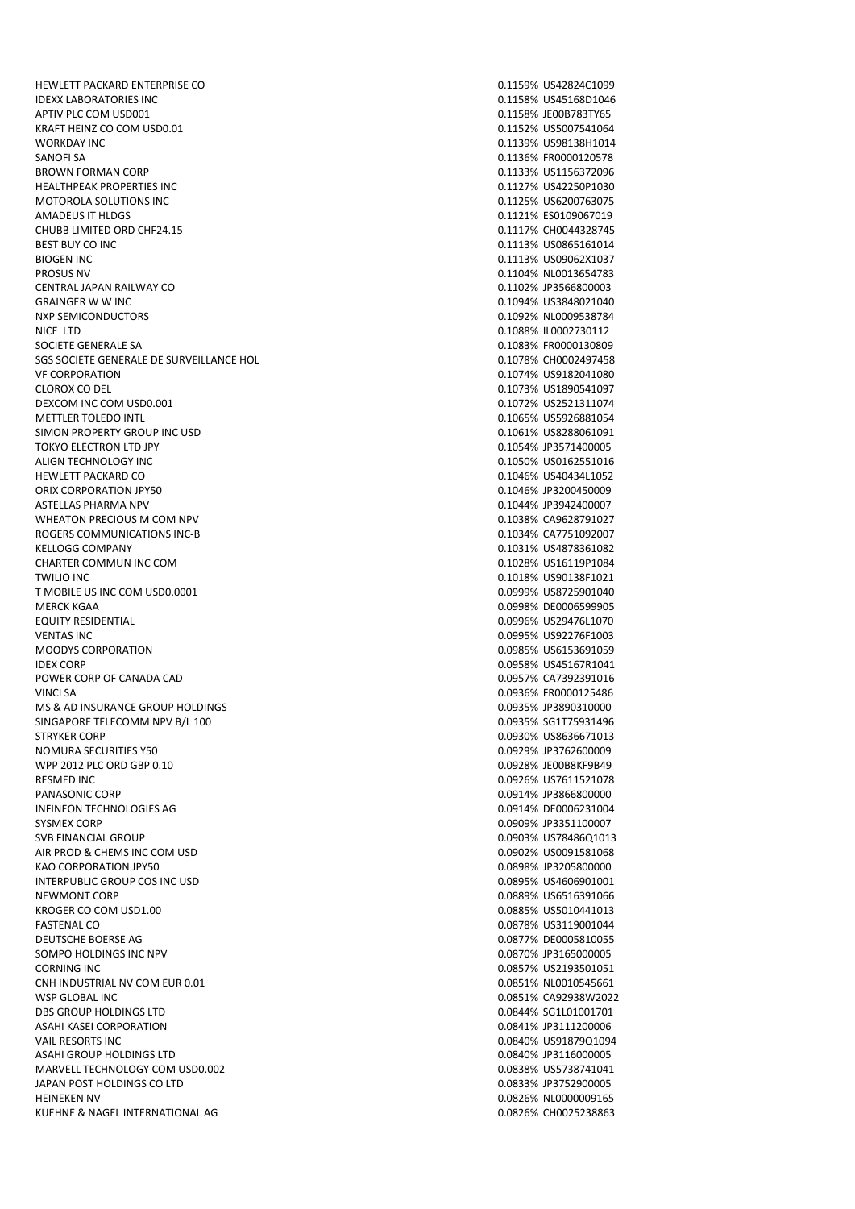HEWLETT PACKARD ENTERPRISE CO 0.1159% US42824C1099 IDEXX LABORATORIES INC 0.1158% US45168D1046 APTIV PLC COM USD001 **DETERIOR PROPERTY OF A SET OF A SET OF A SET OF A SET OF A SET OF A SET OF A SET OF A SET OF A SET OF A SET OF A SET OF A SET OF A SET OF A SET OF A SET OF A SET OF A SET OF A SET OF A SET OF A SET OF** KRAFT HEINZ CO COM USD0.01 **0.1152% US5007541064** WORKDAY INC 0.1139% US98138H1014 SANOFI SA 0.1136% FR0000120578 BROWN FORMAN CORP 0.1133% US1156372096 HEALTHPEAK PROPERTIES INC. MOTOROLA SOLUTIONS INC AMADEUS IT HLDGS 0.1121% ES0109067019 CHUBB LIMITED ORD CHF24.15 **0.1117% CHOO44328745** BEST BUY CO INC 0.1113% US0865161014 PROSUS NV 0.1104% NL0013654783 CENTRAL JAPAN RAILWAY CO 0.1102% JP3566800003 GRAINGER W W INC 0.1094% US3848021040 NXP SEMICONDUCTORS 0.1092% NL0009538784 NICE LTD 0.1088% IL0002730112 SOCIETE GENERALE SA 0.1083% FR0000130809 SGS SOCIETE GENERALE DE SURVEILLANCE HOL 0.1078% CH0002497458 VF CORPORATION **0.1074% US9182041080** CLOROX CO DEL 0.1073% US1890541097 DEXCOM INC COM USD0.001 0.1072% US2521311074 METTLER TOLEDO INTL 0.1065% US5926881054 SIMON PROPERTY GROUP INC USD<br>TOKYO ELECTRON LTD JPY ON THE USBE OF THE USBE OF THE USBE ON THE USBE ON THE USBE OF THE USBE OF THE USBE OF T<br>0.1054% JP3571400005 TOKYO ELECTRON LTD JPY ALIGN TECHNOLOGY INC 0.1050% US0162551016 HEWLETT PACKARD CO 0.1046% US40434L1052 ORIX CORPORATION JPY50 0.1046% JP3200450009 ASTELLAS PHARMA NPV 0.1044% JP3942400007 WHEATON PRECIOUS M COM NPV **COME AND COMPUTER CASES** CA9628791027 ROGERS COMMUNICATIONS INC-B 0.1034% CA7751092007 KELLOGG COMPANY 0.1031% US4878361082 CHARTER COMMUN INC COM **CHARTER COMMUN INC** COM TWILIO INC 0.1018% US90138F1021 T MOBILE US INC COM USD0.0001 0.0999% US8725901040 MERCK KGAA 0.0998% DE0006599905 VENTAS INC 0.0995% US92276F1003 IDEX CORP 0.0958% US45167R1041 POWER CORP OF CANADA CAD **0.0957% CA7392391016** VINCI SA 0.0936% FR0000125486 MS & AD INSURANCE GROUP HOLDINGS 0.0935% JP3890310000 SINGAPORE TELECOMM NPV B/L 100 0.0935% SG1T75931496 STRYKER CORP 0.0930% US8636671013 NOMURA SECURITIES Y50 0.0929% JP3762600009 WPP 2012 PLC ORD GBP 0.10 0.0928% JE00B8KF9B49 RESMED INC 6.0926% US7611521078 PANASONIC CORP 0.0914% JP3866800000 INFINEON TECHNOLOGIES AG **0.0914% DE0006231004** 0.0914% DE0006231004 SYSMEX CORP 0.0909% JP3351100007 AIR PROD & CHEMS INC COM USD 0.0902% US0091581068 KAO CORPORATION JPY50 0.0898% JP3205800000 INTERPUBLIC GROUP COS INC USD 0.0895% US4606901001 NEWMONT CORP 0.0889% US6516391066 KROGER CO COM USD1.00 **0.0885% US5010441013** FASTENAL CO 0.0878% US3119001044 DEUTSCHE BOERSE AG 0.0877% DE0005810055 SOMPO HOLDINGS INC NPV 6 NOTE 2008 10 100 NONE 2008 100 NO 100 NO 100 NO 100 NO 100 NO 100 NO 100 NO 100 NO 10 CORNING INC 0.0857% US2193501051 CNH INDUSTRIAL NV COM EUR 0.01 0.0851% NL0010545661 WSP GLOBAL INC 0.0851% CA92938W2022 DBS GROUP HOLDINGS LTD 0.0844% SG1L01001701 ASAHI KASEI CORPORATION **ASAHI KASEI CORPORATION** 6.0841% JP3111200006 VAIL RESORTS INC **CONTRACT CONTRACT CONTRACT CONTRACT CONTRACT CONTRACT CONTRACT CONTRACT CONTRACT CONTRACT CONTRACT CONTRACT CONTRACT CONTRACT CONTRACT CONTRACT CONTRACT CONTRACT CONTRACT CONTRACT CONTRACT CONTRACT CONTRA** ASAHI GROUP HOLDINGS LTD **ASSAULT AS A CONSTRUCTED ASSAULT ASSAULT** 0.0840% JP3116000005 MARVELL TECHNOLOGY COM USD0.002 0.0838% US5738741041 JAPAN POST HOLDINGS CO LTD 0.0833% JP3752900005 HEINEKEN NV 0.0826% NL0000009165 KUEHNE & NAGEL INTERNATIONAL AG 0.0826% CH0025238863

0.1113% US09062X1037 0.0996% US29476L1070 0.0985% US6153691059 0.0903% US78486Q1013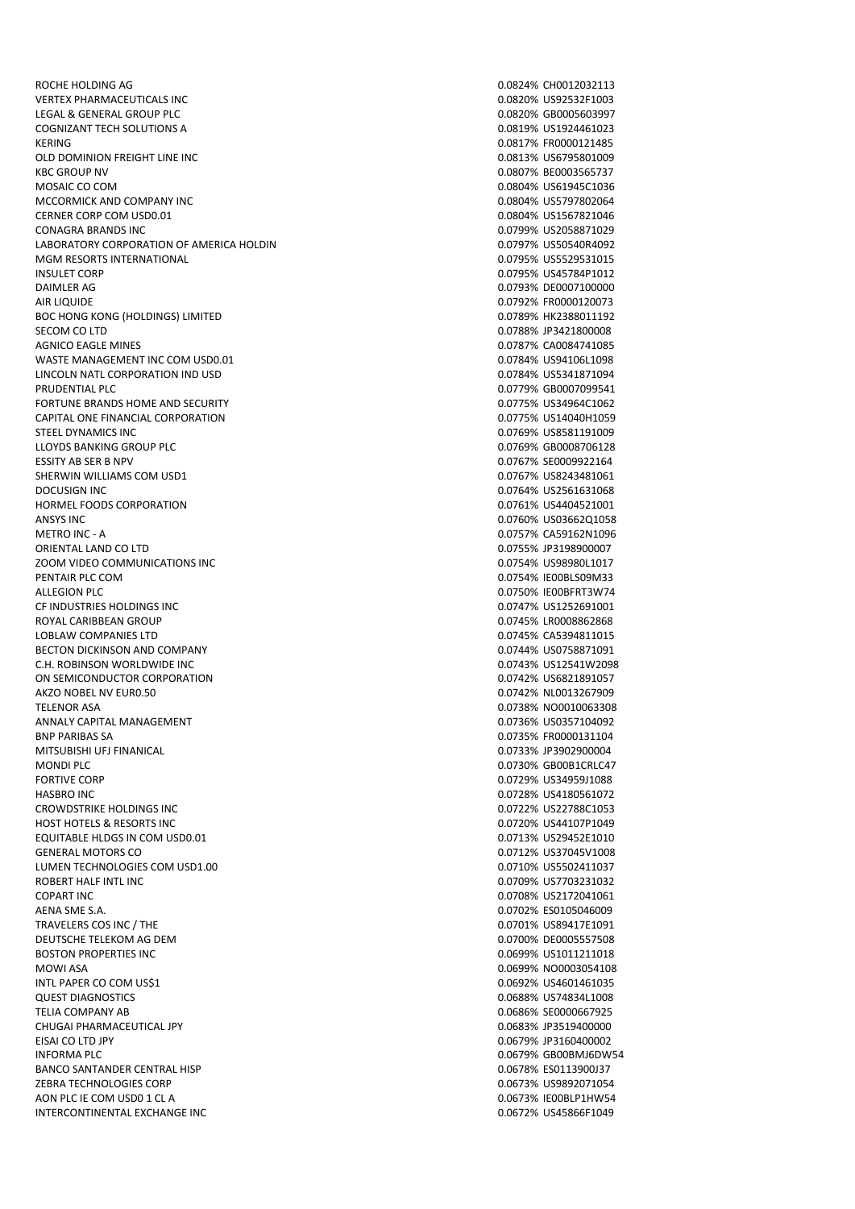ROCHE HOLDING AG 0.0824% CHO012032113 VERTEX PHARMACEUTICALS INC **CONSERVERTIES** ON MARINE 200820% US92532F1003 LEGAL & GENERAL GROUP PLC 0.0820% GB0005603997 COGNIZANT TECH SOLUTIONS A 0.0819% US1924461023 KERING 0.0817% FR0000121485 OLD DOMINION FREIGHT LINE INC **CONTRACT CONTRACT CONTRACT CONTRACT CONTRACT CONTRACT CONTRACT CONTRACT CONTRACT** KBC GROUP NV 0.0807% BE0003565737 MOSAIC CO COM 0.0804% US61945C1036 MCCORMICK AND COMPANY INC **CONTRACT CONSUMING THE CONTRACT OF CONSUMING A** CONSUMING A LOCAL CONSUMING A LOCAL CONSUMING A LOCAL CONSUMING A LOCAL CONSUMING A LOCAL CONSUMING A LOCAL CONSUMING A LOCAL CONSUMING A LOCAL CON CERNER CORP COM USD0.01 0.0804% US1567821046 CONAGRA BRANDS INC 0.0799% US2058871029 LABORATORY CORPORATION OF AMERICA HOLDIN USE AND RESOLUTION ON THE SERVICE OF A SERVICE OF A SERVICE OF A SERV<br>1.0795% US5529531015 MONET ON ALL AND RESOLUTION OF A SERVICE OF A SERVICE OF A SERVICE OF A SERVICE OF A SERV MGM RESORTS INTERNATIONAL INSULET CORP 0.0795% US45784P1012 DAIMLER AG 0.0793% DE0007100000 AIR LIQUIDE 0.0792% FR0000120073 BOC HONG KONG (HOLDINGS) LIMITED **1.000 CONSERVERSION** 0.0789% HK2388011192 SECOM CO LTD 0.0788% JP3421800008 AGNICO EAGLE MINES 0.0787% CA0084741085 WASTE MANAGEMENT INC COM USD0.01 0.0784% US94106L1098 LINCOLN NATL CORPORATION IND USD **CONSUMING THE CORPORATION INDUSTRY** CONSUMING THE CORPORATION IND PRUDENTIAL PLC 0.0779% GB0007099541 FORTUNE BRANDS HOME AND SECURITY 0.0775% US34964C1062 CAPITAL ONE FINANCIAL CORPORATION 0.0775% US14040H1059 STEEL DYNAMICS INC<br>ELOYDS BANKING GROUP PLC NOTES TO A SERIES ON THE SERIES OF THE SERIES ON THE SERIES ON THE SERIES OF THE SERIES LLOYDS BANKING GROUP PLC ESSITY AB SER B NPV 0.0767% SE000992164 SHERWIN WILLIAMS COM USD1 **0.0767% US8243481061** DOCUSIGN INC 0.0764% US2561631068 HORMEL FOODS CORPORATION 0.0761% US4404521001 ANSYS INC 0.0760% US03662Q1058 METRO INC - A 0.0757% CA59162N1096 ORIENTAL LAND CO LTD 0.0755% JP3198900007 ZOOM VIDEO COMMUNICATIONS INC 0.0754% US98980L1017 PENTAIR PLC COM **DELETION PENTAIR PLC COM COMMUNISTIES** ALLEGION PLC **ALLEGION PLO** CF INDUSTRIES HOLDINGS INC 0.0747% US1252691001 ROYAL CARIBBEAN GROUP **1.00008862868** CROUP 1.00008862868 LOBLAW COMPANIES LTD<br>BECTON DICKINSON AND COMPANY COMERCITY CONSUMING THE COMPANY CONSUMING A CONSUMING A COMPANY BECTON DICKINSON AND COMPANY C.H. ROBINSON WORLDWIDE INC **CHANGE INC** 0.0743% US12541W2098 ON SEMICONDUCTOR CORPORATION **CONTACT CONSUMING THE CONTACT CONSUMING THE CONTACT CONSUMING THE CONTACT CONTACT CONTACT CONTACT CONTACT CONTACT CONTACT CONTACT CONTACT CONTACT CONTACT CONTACT CONTACT CONTACT CONTACT CONTAC** AKZO NOBEL NV EUR0.50 0.0742% NL0013267909 TELENOR ASA 0.0738% NO0010063308 ANNALY CAPITAL MANAGEMENT **CAPITAL MANAGEMENT** CONSUMING THE CONSUMING CONSUMING THE CONSUMING CONSUMING THE CONSUMING CONSUMING THE CONSUMING CONSUMING THE CONSUMING CONSUMING THE CONSUMING CONSUMING THE CONSUMING CONSUMI BNP PARIBAS SA 0.0735% FR0000131104 MITSUBISHI UFJ FINANICAL 0.0733% JP3902900004 MONDI PLC 6000B1CRLC47 FORTIVE CORP 0.0729% US34959J1088 HASBRO INC 0.0728% US4180561072 CROWDSTRIKE HOLDINGS INC **CROWDSTRIKE HOLDINGS** INC HOST HOTELS & RESORTS INC<br>EQUITABLE HLDGS IN COM USD0.01 CONTROL CONTROL CONTROL CONTROL CONTROL CONTROL CONTROL CONTROL CONTROL CONTROL<br>D.0713% US29452E1010 EQUITABLE HLDGS IN COM USD0.01 GENERAL MOTORS CO 0.0712% US37045V1008 LUMEN TECHNOLOGIES COM USD1.00 **0.0710% US5502411037** ROBERT HALF INTL INC 0.0709% US7703231032 COPART INC 0.0708% US2172041061 AENA SME S.A. 0.0702% ES0105046009 TRAVELERS COS INC / THE 0.0701% US89417E1091 DEUTSCHE TELEKOM AG DEM 0.0700% DE0005557508 BOSTON PROPERTIES INC 0.0699% US1011211018 INTL PAPER CO COM US\$1 0.0692% US4601461035 QUEST DIAGNOSTICS 0.0688% US74834L1008 TELIA COMPANY AB 0.0686% SE0000667925 CHUGAI PHARMACEUTICAL JPY 0.0683% JP3519400000 EISAI CO LTD JPY 0.0679% JP3160400002 INFORMA PLC 8000BMJ6DW54 BANCO SANTANDER CENTRAL HISP 0.0678% ES0113900J37 ZEBRA TECHNOLOGIES CORP **CONFIDENTIAL CONFIDENTIAL CONFIDENTIAL CONFIDENTIAL CONFIDENTIAL CONFIDENTIAL CONFIDENTI** AON PLC IE COM LISDO 1 CL A 0.0673% IE00BLP1HW54 INTERCONTINENTAL EXCHANGE INC<br>
0.0672% US45866F1049

0.0699% NO0003054108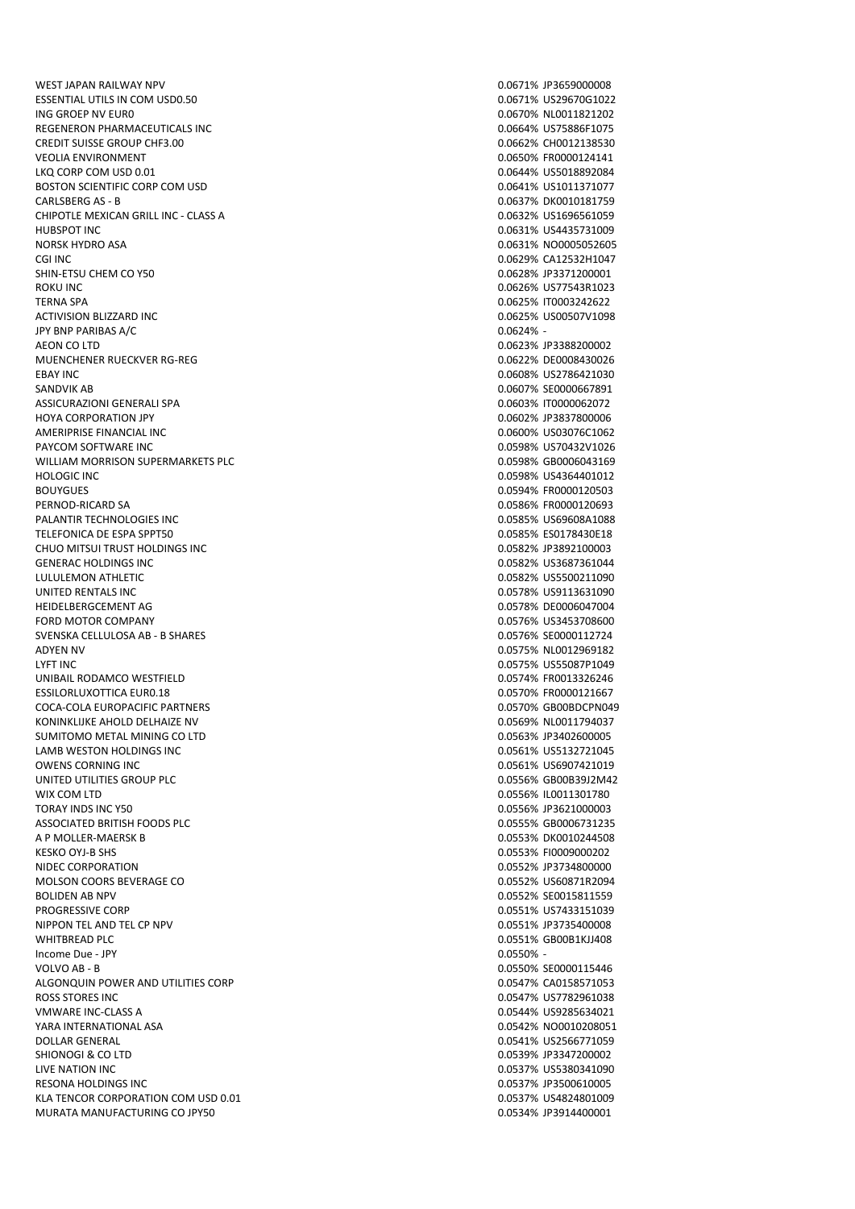WEST JAPAN RAILWAY NPV 8 (2008) 2008 2012 12:30 12:30 12:30 12:30 12:30 12:30 12:30 12:30 12:30 12:30 12:30 12:30 12:30 12:30 12:30 12:30 12:30 12:30 12:30 12:30 12:30 12:30 12:30 12:30 12:30 12:30 12:30 12:30 12:30 12:30 ESSENTIAL UTILS IN COM USD0.50 0.0671% US29670G1022 ING GROEP NV EUR0 0.0670% NL0011821202 REGENERON PHARMACEUTICALS INC **CONSUMING THE CONSUMING THE CONSUMING THE CONSUMING THE CONSUMING THE CONSUMING T** CREDIT SUISSE GROUP CHF3.00 0.0662% CH0012138530 VEOLIA ENVIRONMENT 0.0650% FR0000124141 LKQ CORP COM USD 0.01 0.0644% US5018892084 BOSTON SCIENTIFIC CORP COM USD CARLSBERG AS - B 0.0637% DK0010181759 CHIPOTLE MEXICAN GRILL INC - CLASS A 0.0632% US1696561059 HUBSPOT INC 0.0631% US4435731009 NORSK HYDRO ASA 0.0631% NO0005052605 SHIN-ETSU CHEM CO Y50 0.0628% JP3371200001 ROKU INC 0.0626% US77543R1023 TERNA SPA 0.0625% IT0003242622 ACTIVISION BLIZZARD INC **ACTIVISION BLIZZARD** INC JPY BNP PARIBAS A/C 0.0624% - AEON CO LTD 0.0623% JP3388200002 MUENCHENER RUECKVER RG-REG 0.0622% DE0008430026 EBAY INC 6.0608% US2786421030 SANDVIK AB 0.0607% SE0000667891 ASSICURAZIONI GENERALI SPA 0.0603% IT0000062072 HOYA CORPORATION JPY 0.0602% JP3837800006 AMERIPRISE FINANCIAL INC 0.0600% US03076C1062 PAYCOM SOFTWARE INC WILLIAM MORRISON SUPERMARKETS PLC **CONTACT CONTACT CONTACT A CONTACT CONTACT CONTACT CONTACT CONTACT CONTACT CONTACT CONTACT CONTACT CONTACT CONTACT CONTACT CONTACT CONTACT CONTACT CONTACT CONTACT CONTACT CONTACT CONTACT C** HOLOGIC INC 0.0598% US4364401012 BOUYGUES 0.0594% FR0000120503 PERNOD-RICARD SA 0.0586% FR0000120693 PALANTIR TECHNOLOGIES INC<br>
2.0585% US69608A1088 TELEFONICA DE ESPA SPPT50 CONTROL DE ESPA SPPT50 CONTROL DE ESPA SE ESPAS ES ESPAS ES ESPAS ES ESPAS ESPAS ESP CHUO MITSUI TRUST HOLDINGS INC<br>
CHUO MITSUI TRUST HOLDINGS INC GENERAC HOLDINGS INC 0.0582% US3687361044 UNITED RENTALS INC 0.0578% US9113631090 HEIDELBERGCEMENT AG 0.0578% DE0006047004 FORD MOTOR COMPANY 0.0576% US3453708600 SVENSKA CELLULOSA AB - B SHARES 0.0576% SE0000112724 LYFT INC 0.0575% US55087P1049 UNIBAIL RODAMCO WESTFIELD **1.000 AU 2000 12000 12000 12000 12000 12000 12000 12000 12000 12000 12000 12000 1200** ESSILORLUXOTTICA EUR0.18 0.0570% FR0000121667 COCA-COLA EUROPACIFIC PARTNERS 0.0570% GB00BDCPN049 KONINKLIJKE AHOLD DELHAIZE NV 1999 UNIVERSITET SAMA 1999 UNIVERSITET SAMA 1999 UNIVERSITET SAMA 1999 UNIVERSIT SUMITOMO METAL MINING CO LTD 0.0563% JP3402600005 LAMB WESTON HOLDINGS INC<br>
OLD BESTON HOLDINGS INC<br>
OLD BESTON HOLDINGS INC UNITED UTILITIES GROUP PLC **CONTRACT CONTRACT CONTRACT CONTRACT CONTRACT CONTRACT CONTRACT CONTRACT CONTRACT CONTRACT CONTRACT CONTRACT CONTRACT CONTRACT CONTRACT CONTRACT CONTRACT CONTRACT CONTRACT CONTRACT CONTRACT CONTR** WIX COM LTD 0.0556% IL0011301780 TORAY INDS INC Y50 0.0556% JP3621000003 ASSOCIATED BRITISH FOODS PLC. AND RESOLUTION ON A SECOND BRITISH FOODS PLC. A P MOLLER-MAERSK B 0.0553% DK0010244508 KESKO OYJ-B SHS 0.0553% FI0009000202 NIDEC CORPORATION 0.0552% JP3734800000 MOLSON COORS BEVERAGE CO **0.0552% US60871R2094** BOLIDEN AB NPV 6. 2007 SENSIFIED AS A 2008 SENSIFIED A 2008 SENSIFIED A 2008 SENSIFIED A 2009 SENSIFIED A 2009 PROGRESSIVE CORP 0.0551% US7433151039 NIPPON TEL AND TEL CP NPV **0.0551% IP3735400008** WHITBREAD PLC 8000B1KJJ408 Income Due - JPY 0.0550% - ALGONQUIN POWER AND UTILITIES CORP 0.0547% CA0158571053 ROSS STORES INC. EXECUTIVE IN A SERVER OF STORES INC. THE ROSS STORES INC. THE ROSS STORES INC. VMWARE INC-CLASS A 0.0544% US9285634021 YARA INTERNATIONAL ASA 0.0542% NO0010208051 DOLLAR GENERAL 0.0541% US2566771059 SHIONOGI & CO LTD 0.0539% JP3347200002 LIVE NATION INC 0.0537% US5380341090 RESONA HOLDINGS INC 0.0537% JP3500610005 KLA TENCOR CORPORATION COM LISD 0.01 0.0537% US4824801009 MURATA MANUFACTURING CO JPY50 0.0534% JP3914400001

0.0629% CA12532H1047 0.0582% US5500211090 0.0575% NL0012969182 0.0561% US6907421019 0.0550% SE0000115446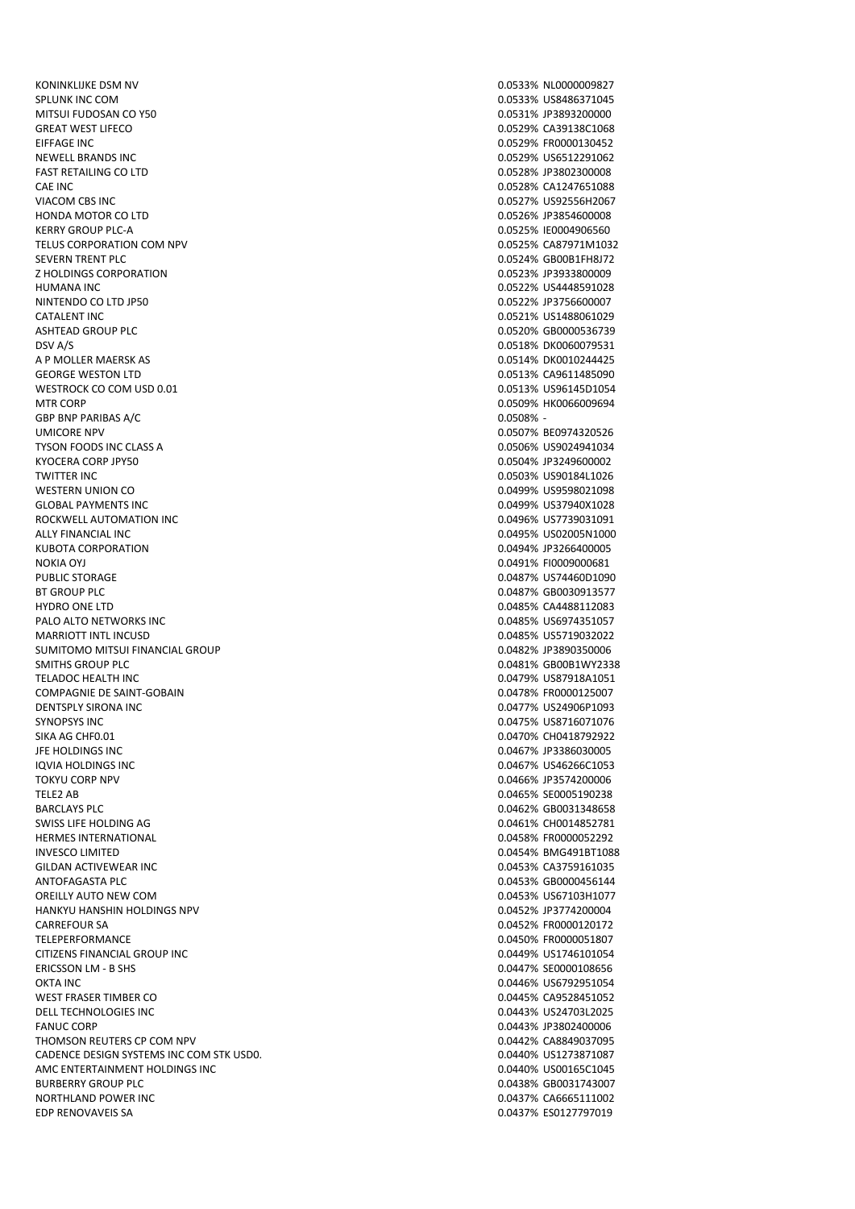KONINKLIJKE DSM NV 0.0533% NL0000009827 SPLUNK INC COM 0.0533% US8486371045 MITSUI FUDOSAN CO Y50 0.0531% JP3893200000 GREAT WEST LIFECO **CALL AND THE CONSUMING THE CONSUMING CONSUMING CONSUMING CONSUMING CONSUMING CONSUMING CONSUMING CONSUMING CONSUMING CONSUMING CONSUMING CONSUMING CONSUMING CONSUMING CONSUMING CONSUMING CONSUMING CONSUM** EIFFAGE INC 0.0529% FR0000130452 NEWELL BRANDS INC 0.0529% US6512291062 FAST RETAILING CO LTD 0.0528% JP3802300008 CAE INC 0.0528% CA1247651088 VIACOM CBS INC 0.0527% US92556H2067 HONDA MOTOR CO LTD 0.0526% JP3854600008 KERRY GROUP PLC-A 0.0525% IE0004906560 TELUS CORPORATION COM NPV 0.0525% CA87971M1032 Z HOLDINGS CORPORATION 0.0523% JP3933800009 HUMANA INC 0.0522% US4448591028 NINTENDO CO LTD JP50 0.0522% JP3756600007 CATALENT INC 0.0521% US1488061029 ASHTEAD GROUP PLC 0.0520% GB0000536739 DSV A/S 0.0518% DK0060079531 A P MOLLER MAERSK AS 0.0514% DK0010244425 GEORGE WESTON LTD GEORGE WESTON LTD AND THE SERIES OF THE SERIES OF THE SERIES OF THE SERIES OF THE SERIES OF THE SERIES OF THE SERIES OF THE SERIES OF THE SERIES OF THE SERIES OF THE SERIES OF THE SERIES OF THE SERIES OF WESTROCK CO COM USD 0.01 0.0513% US96145D1054 MTR CORP 0.0509% HK0066009694 GBP BNP PARIBAS A/C  $0.0508\%$  -UMICORE NPV 0.0507% BE0974320526 TYSON FOODS INC CLASS A 0.0506% US9024941034 KYOCERA CORP JPY50 0.0504% JP3249600002 TWITTER INC 0.0503% US90184L1026 WESTERN UNION CO **0.0499% US9598021098** GLOBAL PAYMENTS INC 0.0499% US37940X1028 ROCKWELL AUTOMATION INC<br>
ROCKWELL AUTOMATION INC ALLY FINANCIAL INC 0.0495% US02005N1000 KUBOTA CORPORATION 0.0494% JP3266400005 NOKIA OYJ 0.0491% FI0009000681 BT GROUP PLC **DEVELOP IN THE SET OF A SET OF A SET OF A SET OF A SET OF A SET OF A SET OF A SET OF A SET OF A SET OF A SET OF A SET OF A SET OF A SET OF A SET OF A SET OF A SET OF A SET OF A SET OF A SET OF A SET OF A SET** HYDRO ONE LTD **CONTROL** CONTROL CONTROL CONTROL CONTROL CONTROL CONTROL CONTROL CONTROL CONTROL CONTROL CONTROL CONTROL CONTROL CONTROL CONTROL CONTROL CONTROL CONTROL CONTROL CONTROL CONTROL CONTROL CONTROL CONTROL CONTRO PALO ALTO NETWORKS INC **PALO ALTO NETWORKS INC 1.0485% US6974351057** MARRIOTT INTL INCUSD<br>SUMITOMO MITSUI FINANCIAL GROUP CONTROL ON THE SUMITOMO MITSUI FINANCIAL GROUP SUMITOMO MITSUI FINANCIAL GROUP SMITHS GROUP PLC **CONTROLLER SECURE 2.00481% GB00B1WY2338** TELADOC HEALTH INC 0.0479% US87918A1051 COMPAGNIE DE SAINT-GOBAIN 0.0478% FR0000125007 DENTSPLY SIRONA INC 0.0477% US24906P1093 SYNOPSYS INC 0.0475% US8716071076 SIKA AG CHF0.01 **0.0470% CHO418792922** JFE HOLDINGS INC<br>10VIA HOLDINGS INC TOKYU CORP NPV 0.0466% JP3574200006 TELE2 AB 0.0465% SE0005190238 BARCLAYS PLC 0.0462% GB0031348658 SWISS LIFE HOLDING AG **3.2 AU 2010 12:3 AU 2010 12:3 AU 2010** 12:4 AU 2010 12:4 AU 2010 12:4 AU 2010 12:4 AU 20<br>0.0458% FRO000052292 **HERMES INTERNATIONAL** INVESCO LIMITED 0.0454% BMG491BT1088 GILDAN ACTIVEWEAR INC **CONTRACTION CONTRACT OF CONTRACT OF CONTRACT OF CONTRACT OF CONTRACT OF CONTRACT OF CONTRACT OF CONTRACT OF CONTRACT OF CONTRACT OF CONTRACT OF CONTRACT OF CONTRACT OF CONTRACT OF CONTRACT OF CONTRAC** ANTOFAGASTA PLC 6.0453% GB0000456144 OREILLY AUTO NEW COM 0.0453% US67103H1077 HANKYU HANSHIN HOLDINGS NPV 0.0452% JP3774200004 CARREFOUR SA 0.0452% FR0000120172 TELEPERFORMANCE 0.0450% FR0000051807 CITIZENS FINANCIAL GROUP INC<br>
ERICSSON LM - B SHS<br>
D.0447% SE0000108656 O DETAINCE THE CONTRACT OF THE CONTRACT OF THE CONTRACT OF THE CONTRACT OF THE CONTRACT OF THE CONTRACT OF THE CONTRACT OF THE CONTRACT OF THE CONTRACT OF THE CONTRACT OF THE CONTRACT OF THE CONTRACT OF THE CONTRACT OF THE WEST FRASER TIMBER CO **0.0445% CA9528451052** DELL TECHNOLOGIES INC 0.0443% US24703L2025 FANUC CORP 0.0443% JP3802400006 THOMSON REUTERS CP COM NPV **COMPUTERS** CP COM NPV **COMPUTERS** CP COMPUTERS **CP COMPUTERS** CP COMPUTERS **CP COMPUTERS** CP COMPUTERS **CP COMPUTERS** CP COMPUTERS **CP COMPUTERS** CP COMPUTERS CP COMPUTERS CP COMPUTERS CP COMPUT CADENCE DESIGN SYSTEMS INC COM STK USD0. 0.0440% US1273871087 AMC ENTERTAINMENT HOLDINGS INC BURBERRY GROUP PLC **CONTROLLER IN THE CONTROL OF A SET OF A SET OF A SET OF A SET OF A SET OF A SET OF A SET OF A SET OF A SET OF A SET OF A SET OF A SET OF A SET OF A SET OF A SET OF A SET OF A SET OF A SET OF A SET OF A** NORTHLAND POWER INC<br>EDP RENOVAVEIS SAND CONTROL EDP RENOVAVEIS SAND CONTROL EDP RENOVAVEIS SAND CONTROL EDP RENOVAVEIS SAND CONTRO

0.0524% GB00B1FH8J72 0.0487% US74460D1090 0.0467% US46266C1053 0.0447% SE0000108656 0.0437% ES0127797019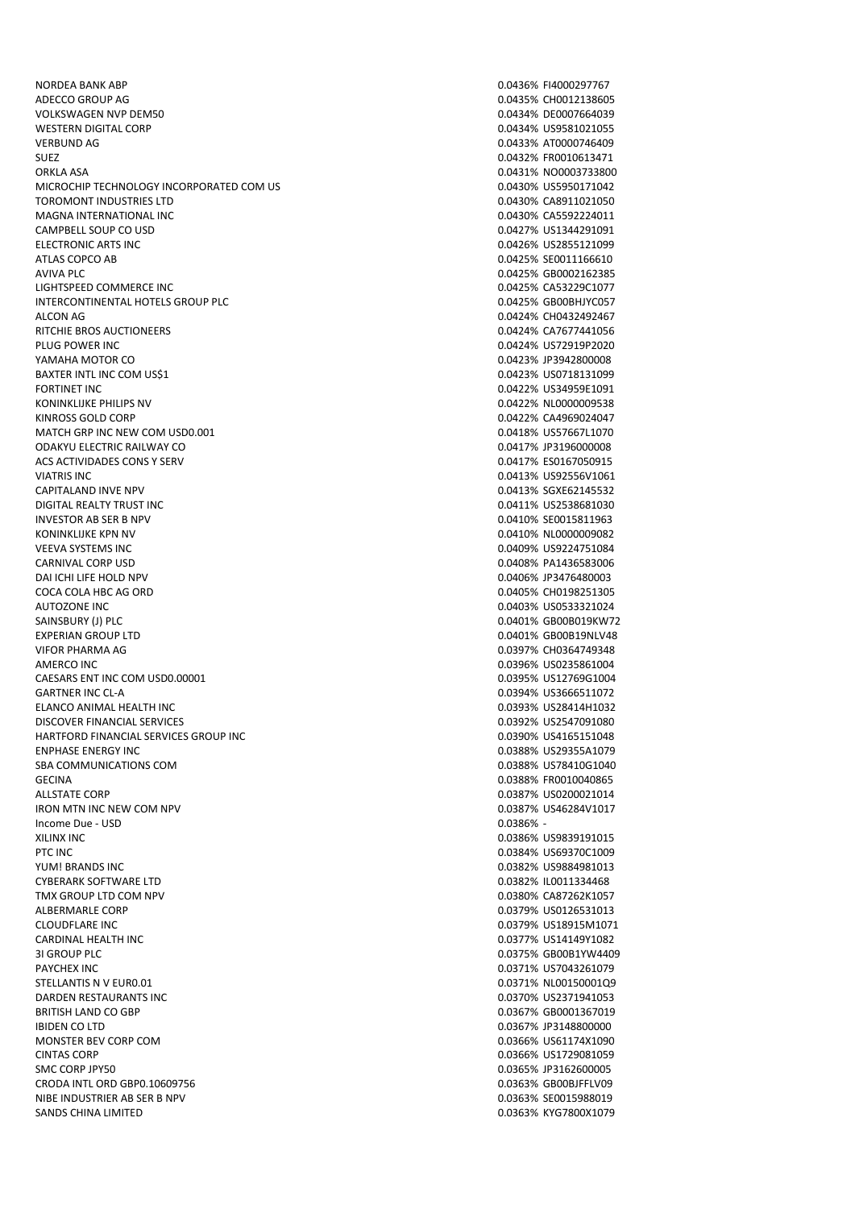NORDEA BANK ABP 0.0436% FI4000297767 ADECCO GROUP AG 0.0435% CH0012138605 VOLKSWAGEN NVP DEM50 0.0434% DE0007664039 WESTERN DIGITAL CORP **0.0434% US9581021055** VERBUND AG 0.0433% AT0000746409 SUEZ 0.0432% FR0010613471 ORKLA ASA<br>MICROCHIP TECHNOLOGY INCORPORATED COM US CONTROLLED AND RESIDENCE ON A COMBATION ON A CONSIDERATION OF MALE ON<br>COMBATION ON A CONTROLLED AND RESIDENCE ON A CONTROLLED AND RESIDENCE ON A COMBATION OF MALE OF MALE MICROCHIP TECHNOLOGY INCORPORATED COM US TOROMONT INDUSTRIES LTD 0.0430% CA8911021050 MAGNA INTERNATIONAL INC 0.0430% CA5592224011 CAMPBELL SOUP CO USD CONSULTED A SERVE AND THE SOLUTION OF THE SOLUTION OF THE SOLUTION OF THE SOLUTION OF THE SOLUTION OF THE SOLUTION OF THE SOLUTION OF THE SOLUTION OF THE SOLUTION OF THE SOLUTION OF THE SOLUTION OF THE ELECTRONIC ARTS INC<br>ATLAS COPCO AB ATLAS COPCO AB AVIVA PLC 800002162385 LIGHTSPEED COMMERCE INC 0.0425% CA53229C1077 INTERCONTINENTAL HOTELS GROUP PLC **CONTING A CONTROL CONTINUES AND A CONTROL CONTINUES ON A CONTROL** ALCON AG 0.0424% CH0432492467 RITCHIE BROS AUCTIONEERS 0.0424% CA7677441056 PLUG POWER INC **DEVELOPS AND A SET OF A SET OF A SET OF A SET OF A SET OF A SET OF A SET OF A SET OF A SET OF A SET OF A SET OF A SET OF A SET OF A SET OF A SET OF A SET OF A SET OF A SET OF A SET OF A SET OF A SET OF A SE** YAMAHA MOTOR CO 0.0423% JP3942800008 BAXTER INTL INC COM US\$1 0.0423% US0718131099 FORTINET INC 0.0422% US34959E1091 KONINKLIJKE PHILIPS NV SANDO SOLOJE S SANDO SOLOJE S SANDO SOLOJE S SANDO SOLOJE S SANDO SOLOJE S SANDO SOLOJE KINROSS GOLD CORP 0.0422% CA4969024047 MATCH GRP INC NEW COM USD0.001 0.0418% US57667L1070 ODAKYU ELECTRIC RAILWAY CO ACS ACTIVIDADES CONS Y SERV **CONSTANT OF ACTIVIDADES CONSTANT OF ACTIVIDADES CONSTANT OF ACTIVIDADES CONSTANT OF ACTIVIDADES CONSTANT OF ACTIVIDADES CONSTANT OF ACTIVIDADES CONSTANT OF ACTIVIDADES CONSTANT OF ACTIVIDADES C** VIATRIS INC 0.0413% US92556V1061 CAPITALAND INVE NPV 0.0413% SGXE62145532 DIGITAL REALTY TRUST INC 0.0411% US2538681030 INVESTOR AB SER B NPV 6 (1999) 2004 10:30 10:30 10:30 10:30 10:30 10:30 10:30 10:30 10:30 10:30 10:30 10:30 10 KONINKLIJKE KPN NV 0.0410% NL0000009082 VEEVA SYSTEMS INC 0.0409% US9224751084 CARNIVAL CORP USD 0.0408% PA1436583006 DAI ICHI LIFE HOLD NPV COCA COLA HBC AG ORD 0.0405% CH0198251305 AUTOZONE INC 0.0403% US0533321024 SAINSBURY (J) PLC 6.0401% GB00B019KW72 EXPERIAN GROUP LTD **EXPERIAN GROUP LTD 1.0401% GB00B19NLV48** VIFOR PHARMA AG 0.0397% CH0364749348 AMERCO INC 200235861004 2012 2023 20235861004 CAESARS ENT INC COM LISDO.00001 0.0395% US12769G1004 GARTNER INC CL-A 0.0394% US3666511072 ELANCO ANIMAL HEALTH INC 0.0393% US28414H1032 DISCOVER FINANCIAL SERVICES 0.0392% US2547091080 HARTFORD FINANCIAL SERVICES GROUP INC **CONTRACT CONTRACT CONTRACT CONTRACT CONTRACT CONTRACT CONTRACT CONTRACT CONTRACT CONTRACT ON A CONTRACT CONTRACT CONTRACT ON A CONTRACT CONTRACT ON A CONTRACT CONTRACT ON A CONTRACT C** ENPHASE ENERGY INC 0.0388% US29355A1079 SBA COMMUNICATIONS COM GECINA 0.0388% FR0010040865 ALLSTATE CORP 0.0387% US0200021014 IRON MTN INC NEW COM NPV 0.0387% US46284V1017 Income Due - USD 0.0386% - PTC INC 0.0384% US69370C1009 YUM! BRANDS INC 0.0382% US9884981013 CYBERARK SOFTWARE LTD 0.0382% IL0011334468 TMX GROUP LTD COM NPV 0.0380% CA87262K1057 ALBERMARLE CORP 0.0379% US0126531013 CLOUDFLARE INC 0.0379% US18915M1071 CARDINAL HEALTH INC 0.0377% US14149Y1082 3I GROUP PLC 0.0375% GB00B1YW4409 STELLANTIS N V EUR0.01 0.0371% NL00150001Q9 DARDEN RESTAURANTS INC 0.0370% US2371941053 BRITISH LAND CO GBP 0.0367% GB0001367019 IBIDEN CO LTD 0.0367% JP3148800000 MONSTER BEV CORP COM **0.0366%** US61174X1090 CINTAS CORP 0.0366% US1729081059 SMC CORP JPY50 0.0365% JP3162600005 CRODA INTL ORD GBP0.10609756 0.0363% GB00BJFFLV09 NIBE INDUSTRIER AB SER B NPV 0.0363% SE0015988019

0.0425% SE0011166610 0.0386% US9839191015 0.0371% US7043261079 0.0363% KYG7800X1079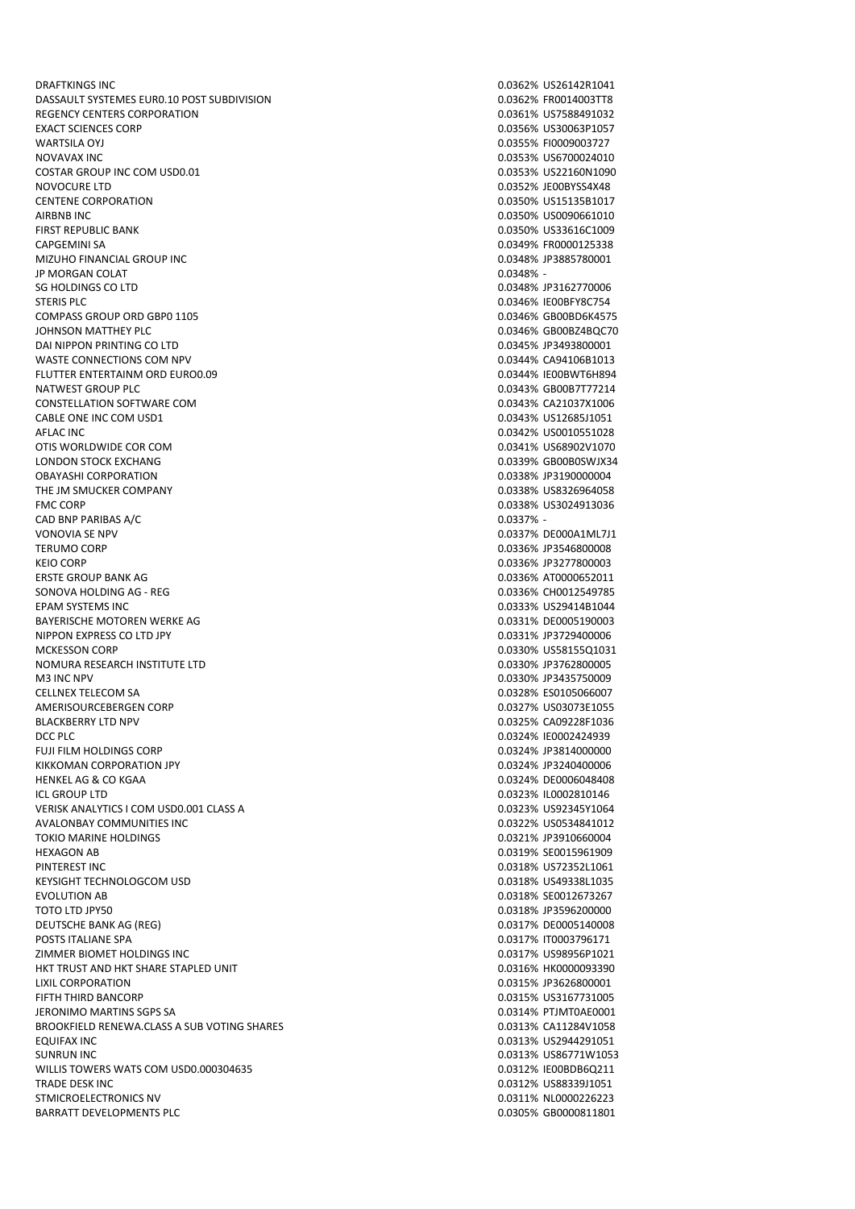DRAFTKINGS INC 0.0362% US26142R1041 DASSAULT SYSTEMES EUR0.10 POST SUBDIVISION 0.0362% FR0014003TT8 REGENCY CENTERS CORPORATION **CONTRACTION** 0.0361% US7588491032 EXACT SCIENCES CORP 0.0356% US30063P1057 WARTSILA OYJ 0.0355% FI0009003727 NOVAVAX INC 0.0353% US6700024010 COSTAR GROUP INC COM USD0.01 **0.0353% US22160N1090** NOVOCURE LTD 0.0352% JE00BYSS4X48 CENTENE CORPORATION 0.0350% US15135B1017 AIRBNB INC 0.0350% US0090661010 FIRST REPUBLIC BANK NEWSPAPE TO A SERIES AND REPUBLIC BANK ON A SAME OF A SAMPLE OF A SAMPLE OF A SAMPLE OF A SAMPLE OF A SAMPLE OF A SAMPLE OF A SAMPLE OF A SAMPLE OF A SAMPLE OF A SAMPLE OF A SAMPLE OF A SAMPLE OF A SAMP MIZUHO FINANCIAL GROUP INC JP MORGAN COLAT 0.0348% - SG HOLDINGS CO LTD 0.0348% JP3162770006 STERIS PLC 6.0346% IE00BFY8C754 COMPASS GROUP ORD GBP0 1105 COMPASS GROUP ORD GBP0 1105 JOHNSON MATTHEY PLC 0.0346% GB00BZ4BQC70 DAI NIPPON PRINTING CO LTD 8000001 WASTE CONNECTIONS COM NPV 0.0344% CA94106B1013 FLUTTER ENTERTAINM ORD EURO0.09 0.0344% IE00BWT6H894 NATWEST GROUP PLC 0.0343% GB00B7T77214 CONSTELLATION SOFTWARE COM **0.0343% CA21037X1006** CABLE ONE INC COM USD1 0.0343% US12685J1051 AFLAC INC 0.0342% US0010551028 OTIS WORLDWIDE COR COM 0.0341% US68902V1070 LONDON STOCK EXCHANG 0.0339% GB00B0SWJX34 OBAYASHI CORPORATION 0.0338% JP3190000004 THE IM SMUCKER COMPANY **COMPANY COMPANY COMPANY COMPANY COMPANY COMPANY COMPANY COMPANY COMPANY COMPANY COMPANY COMPANY COMPANY COMPANY COMPANY COMPANY COMPANY COMPANY COMPANY COMPANY** FMC CORP 0.0338% US3024913036 CAD BNP PARIBAS A/C 0.0337% -VONOVIA SE NPV 0.0337% DE000A1ML7J1 TERUMO CORP 0.0336% JP3546800008 KEIO CORP 0.0336% JP3277800003 SONOVA HOLDING AG - REG 0.0336% CH0012549785 EPAM SYSTEMS INC 0.0333% US29414B1044 BAYERISCHE MOTOREN WERKE AG 0.0331% DE0005190003 NIPPON EXPRESS CO LTD JPY 0.0331% JP3729400006 NOMURA RESEARCH INSTITUTE LTD 0.0330% JP3762800005 M3 INC NPV 0.0330% JP3435750009 CELLNEX TELECOM SA 0.0328% ES0105066007 AMERISOURCEBERGEN CORP 0.0327% US03073E1055 BLACKBERRY LTD NPV 0.0325% CA09228F1036 DCC PLC 0.0324% IE0002424939 FUJI FILM HOLDINGS CORP 0.0324% JP3814000000 KIKKOMAN CORPORATION JPY 0.0324% JP3240400006 HENKEL AG & CO KGAA 0.0324% DE0006048408 ICL GROUP LTD 0.0323% IL0002810146 VERISK ANALYTICS I COM USD0.001 CLASS A 0.0323% US92345Y1064 AVALONBAY COMMUNITIES INC 0.0322% US0534841012 **TOKIO MARINE HOLDINGS** HEXAGON AB 0.0319% SE0015961909 PINTEREST INC 0.0318% US72352L1061 KEYSIGHT TECHNOLOGCOM USD **1.000 USD 1.0000 US49338L1035** US49338L1035 EVOLUTION AB 0.0318% SE0012673267 TOTO LTD JPY50 0.0318% JP3596200000 DEUTSCHE BANK AG (REG) 0.0317% DE0005140008 POSTS ITALIANE SPA 0.0317% IT0003796171 ZIMMER BIOMET HOLDINGS INC 0.0317% US98956P1021 HKT TRUST AND HKT SHARE STAPLED UNIT LIXIL CORPORATION 0.0315% JP3626800001 FIFTH THIRD BANCORP 0.0315% US3167731005 JERONIMO MARTINS SGPS SA 0.0314% PTJMT0AE0001 BROOKFIELD RENEWA.CLASS A SUB VOTING SHARES 6 0.0313% CA11284V1058 EQUIFAX INC 0.0313% US2944291051 SUNRUN INC 0.0313% US86771W1053 WILLIS TOWERS WATS COM USD0.000304635 0.0312% IE00BDB6Q211 TRADE DESK INC 0.0312% US88339J1051 STMICROELECTRONICS NV 0.0311% NL0000226223 BARRATT DEVELOPMENTS PLC 600000811801

0.0349% FR0000125338<br>0.0348% JP3885780001 0.0336% AT0000652011 0.0330% US58155Q1031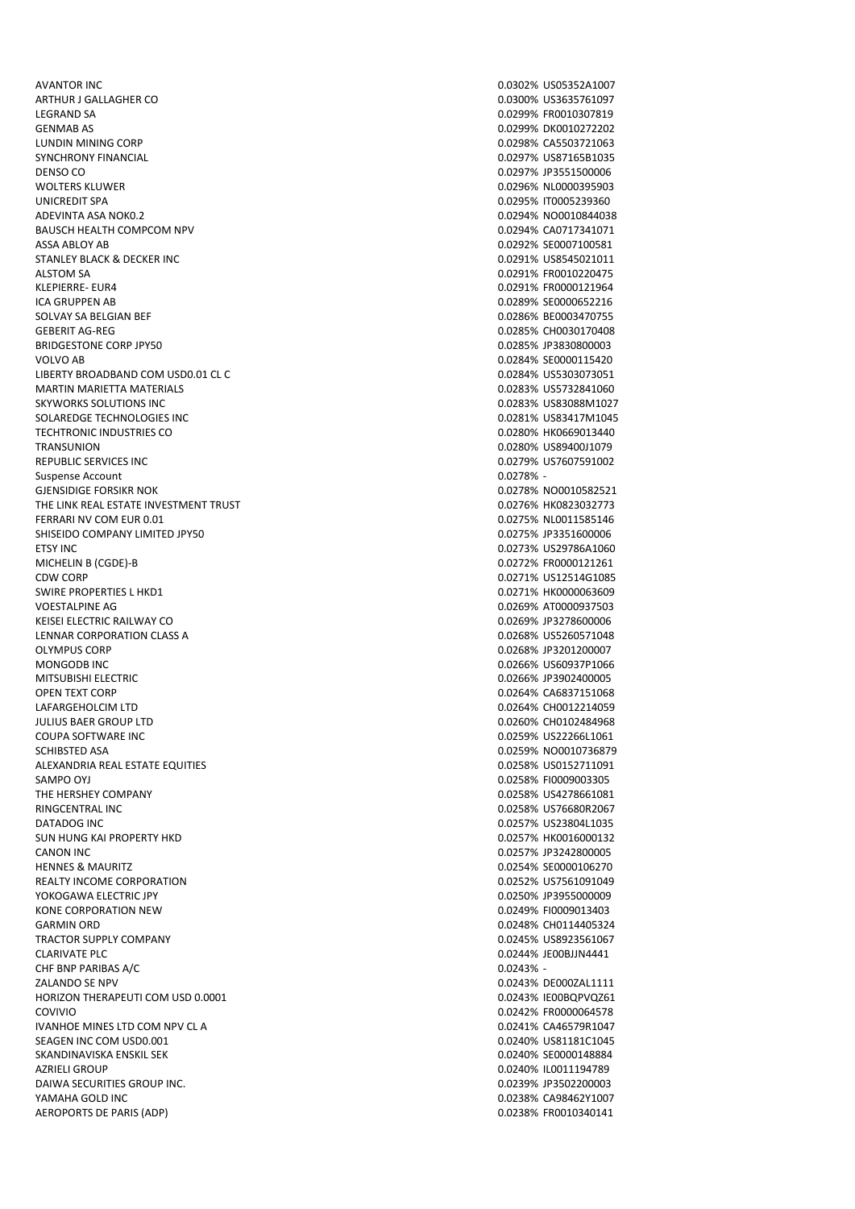AVANTOR INC 0.0302% US05352A1007 ARTHUR J GALLAGHER CO **2.0300 CONTROLLAGHER CO** 0.0300% US3635761097 LEGRAND SA 0.0299% FR0010307819 GENMAB AS 0.0299% DK0010272202 LUNDIN MINING CORP 0.0298% CA5503721063 SYNCHRONY FINANCIAL 0.0297% US87165B1035 DENSO CO 0.0297% JP3551500006 UNICREDIT SPA 0.0295% IT0005239360 ADEVINTA ASA NOKO 2 0.0294% NORO 2002/02/2003 20.0294% NO 2002/2003 20.0294% NORO 2002/2003 BAUSCH HEALTH COMPCOM NPV **EXECUTE 2008** 20094% CA0717341071 ASSA ABLOY AB 0.0292% SE0007100581 STANLEY BLACK & DECKER INC ALSTOM SA 0.0291% FR0010220475 KLEPIERRE- EUR4 0.0291% FR0000121964 ICA GRUPPEN AB 0.0289% SE0000652216 SOLVAY SA BELGIAN BEF **1.0286% BEOGOS470755** GEBERIT AG-REG 0.0285% CH0030170408 BRIDGESTONE CORP JPY50 0.0285% JP3830800003 VOLVO AB 0.0284% SE0000115420 LIBERTY BROADBAND COM USD0.01 CL C 0.0284% US5303073051 MARTIN MARIETTA MATERIALS 0.0283% US5732841060 SKYWORKS SOLUTIONS INC 0.0283% US83088M1027 SOLAREDGE TECHNOLOGIES INC **CONSUMING THE CONSUMING THE CONSUMING TECHNOLOGIES** INC TECHTRONIC INDUSTRIES CO **0.0280% HK0669013440** TRANSUNION 0.0280% US89400J1079 REPUBLIC SERVICES INC **AND REPUBLIC SERVICES INC CONSUMING THE CONSUMING SERVICES** INC Suspense Account GJENSIDIGE FORSIKR NOK 1999 NOTE STATES AND THE SERVICE OF STATES AND THE SERVICE OF STATES AND THE SERVICE OF STATES AND THE SERVICE OF STATES AND THE SERVICE OF STATES AND THE SERVICE OF STATES AND THE SERVICE OF STATES THE LINK REAL ESTATE INVESTMENT TRUST 0.0276% HK0823032773 FERRARI NV COM EUR 0.01 0.0275% NL0011585146 SHISEIDO COMPANY LIMITED JPY50 0.0275% JP3351600006 ETSY INC 0.0273% US29786A1060 MICHELIN B (CGDE)-B 0.0272% FR0000121261 CDW CORP 0.0271% US12514G1085 SWIRE PROPERTIES L HKD1 0.0271% HK0000063609 VOESTALPINE AG 0.0269% AT0000937503 KEISEI ELECTRIC RAILWAY CO 0.0269% JP3278600006 LENNAR CORPORATION CLASS A 0.0268% US5260571048 MONGODB INC 0.0266% US60937P1066 MITSUBISHI ELECTRIC 0.0266% JP3902400005 OPEN TEXT CORP 8 0.0264% CA6837151068 LAFARGEHOLCIM LTD 0.0264% CH0012214059 JULIUS BAER GROUP LTD 0.0260% CH0102484968 COUPA SOFTWARE INC 0.0259% US22266L1061 SCHIBSTED ASA 0.0259% NO0010736879 ALEXANDRIA REAL ESTATE EQUITIES **ALEXANDRIA REAL ESTATE EQUITIES 1.00258% US0152711091** SAMPO OYJ 0.0258% FI0009003305 THE HERSHEY COMPANY **COMPANY COMPANY COMPANY COMPANY COMPANY COMPANY COMPANY COMPANY COMPANY COMPANY COMPANY COMPANY COMPANY COMPANY COMPANY COMPANY COMPANY COMPANY COMPANY COMPANY C** RINGCENTRAL INC 0.0258% US76680R2067 DATADOG INC 0.0257% US23804L1035 SUN HUNG KAI PROPERTY HKD CANON INC 0.0257% JP3242800005 HENNES & MAURITZ 0.0254% SE0000106270 REALTY INCOME CORPORATION **CONSUMING THE CONSUMING CORPORATION CONSUMING THE CONSUMING CORPORATION** YOKOGAWA ELECTRIC JPY 0.0250% JP3955000009 KONE CORPORATION NEW **120000012403** 6.0249% FI0009013403 GARMIN ORD **0.0248% CH0114405324** TRACTOR SUPPLY COMPANY 0.0245% US8923561067 CLARIVATE PLC 6.0244% JEOOBJJN4441 CHF BNP PARIBAS A/C ZALANDO SE NPV 0.0243% DE000ZAL1111 HORIZON THERAPEUTI COM USD 0.0001 0.0243% IE00BQPVQZ61 COVIVIO 0.0242% FR0000064578 IVANHOE MINES LTD COM NPV CL A 0.0241% CA46579R1047 SEAGEN INC COM USD0.001 0.0240% US81181C1045 SKANDINAVISKA ENSKIL SEK 0.0240% SE0000148884 AZRIELI GROUP 0.0240% IL0011194789 DAIWA SECURITIES GROUP INC. 0.0239% JP3502200003 YAMAHA GOLD INC 0.0238% CA98462Y1007 AEROPORTS DE PARIS (ADP) 0.0238% FR0010340141

0.0296% NL0000395903  $0.0278%$  -0.0268% JP3201200007  $0.0243%$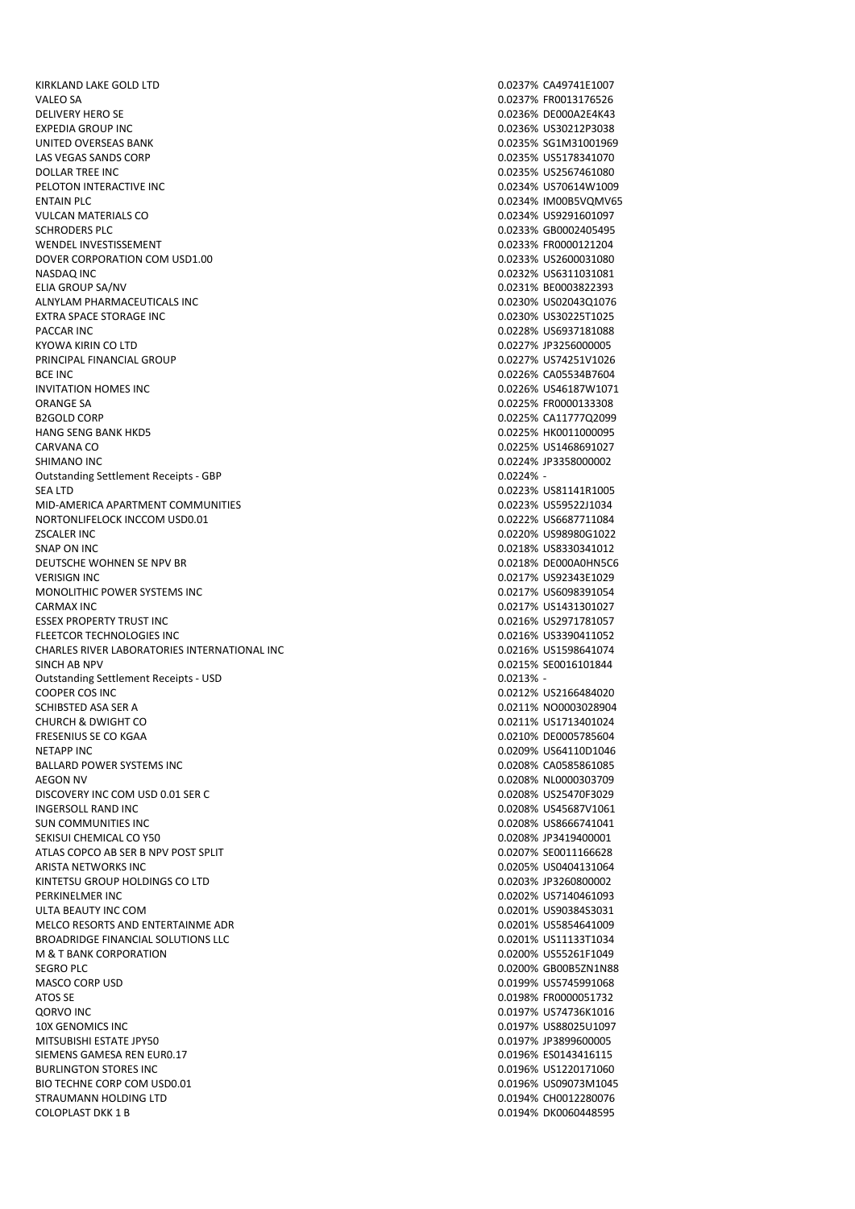KIRKLAND LAKE GOLD LTD 0.0237% CA49741E1007 VALEO SA 0.0237% FR0013176526 DELIVERY HERO SE 0.0236% DE000A2E4K43 EXPEDIA GROUP INC 0.0236% US30212P3038 UNITED OVERSEAS BANK 0.0235% SG1M31001969 LAS VEGAS SANDS CORP 0.0235% US5178341070 DOLLAR TREE INC 0.0235% US2567461080 PELOTON INTERACTIVE INC. ENTAIN PLC 8 0.0234% IM00B5VQMV65 VULCAN MATERIALS CO **234% US9291601097** SCHRODERS PLC 0.0233% GB0002405495 WENDEL INVESTISSEMENT 0.0233% FR0000121204 DOVER CORPORATION COM USD1.00 NASDAQ INC 0.0232% US6311031081 ELIA GROUP SA/NV 0.0231% BE0003822393 ALNYLAM PHARMACEUTICALS INC **ALL ACCOMPT OF A CONSUMING A CONSUMING A CONSUMING A CONSUMING A CONSUMING A CONSUMI** EXTRA SPACE STORAGE INC 0.0230% US30225T1025 PACCAR INC 0.0228% US6937181088 KYOWA KIRIN CO LTD 8000005 CONTROL CONTROL CONTROL CONTROL CONTROL CONTROL CONTROL CONTROL CONTROL CONTROL CONTROL CONTROL CONTROL CONTROL CONTROL CONTROL CONTROL CONTROL CONTROL CONTROL CONTROL CONTROL CONTROL CONTROL CON PRINCIPAL FINANCIAL GROUP 0.0227% US74251V1026 BCE INC 6.0226% CA05534B7604 INVITATION HOMES INC 0.0226% US46187W1071 ORANGE SA 0.0225% FR0000133308 B2GOLD CORP 0.0225% CA11777Q2099 HANG SENG BANK HKD5 0.0225% HK0011000095 CARVANA CO 0.0225% US1468691027 SHIMANO INC **1.0224 SHIMANO INC** 2.0224 SHIMANO INC Outstanding Settlement Receipts - GBP 0.0224% - SEA LTD 0.0223% US81141R1005 MID-AMERICA APARTMENT COMMUNITIES **1.0223** 1.0223% US59522J1034 NORTONLIFELOCK INCCOM USD0.01 **0.0222% US6687711084** ZSCALER INC 0.0220% US98980G1022 SNAP ON INC 6.0218% US8330341012 DEUTSCHE WOHNEN SE NPV BR<br>
DEUTSCHE WOHNEN SE NPV BR VERISIGN INC 0.0217% US92343E1029 MONOLITHIC POWER SYSTEMS INC **CONSESSED ASSESS** TO A REPORT OF A RESERVE THE RESERVE ON A RESERVE ON A REPORT OF A RESERVE ON A REPORT OF A RESERVE ON A REPORT OF A REPORT OF A REPORT OF A REPORT OF A REPORT OF A REPORT OF CARMAX INC 0.0217% US1431301027 ESSEX PROPERTY TRUST INC **EXECUTE IN EXAMPLE 2008** US2971781057 FLEETCOR TECHNOLOGIES INC 0.0216% US3390411052 CHARLES RIVER LABORATORIES INTERNATIONAL INC SINCH AB NPV 0.0215% SE0016101844 Outstanding Settlement Receipts - USD 0.0213% - 0.0213% -COOPER COS INC 0.0212% US2166484020 SCHIBSTED ASA SER A 0.0211% NO0003028904 CHURCH & DWIGHT CO **0.0211% US1713401024** FRESENIUS SE CO KGAA 0.0210% DE0005785604 NETAPP INC 0.0209% US64110D1046 BALLARD POWER SYSTEMS INC AEGON NV 0.0208% NL0000303709 DISCOVERY INC COM USD 0.01 SER C 0.0208% US25470F3029 INGERSOLL RAND INC 0.0208% US45687V1061 SUN COMMUNITIES INC<br>SEKISUI CHEMICAL CO Y50 SECONDO DE SUNTE EN ENGLISHED O DE SUNTE DE SUNTE DE SUNTE DE SUNTE DE SUNTE DE SUNTE<br>DO 20208 SE JP 3419400001 SEKISUI CHEMICAL CO Y50 ATLAS COPCO AB SER B NPV POST SPLIT AND CONTROLLED ATLAS COPCO AB SERVITAGE 28 ARISTA NETWORKS INC **ARISTA NETWORKS INC. ARISTA NETWORKS INC. CONSUMING A RISTA OF A RISTA OF A RISTA OF A RISTA OF A RISTA OF A RISTA OF A RISTA OF A RISTA OF A RISTA OF A RISTA OF A RISTA OF A RISTA OF A RISTA OF A** KINTETSU GROUP HOLDINGS CO LTD 0.0203% JP3260800002 PERKINELMER INC 0.0202% US7140461093 ULTA BEAUTY INC COM **0.0201% US90384S3031** MELCO RESORTS AND ENTERTAINME ADR 0.0201% US5854641009 BROADRIDGE FINANCIAL SOLUTIONS LLC **CONTRACTES AND RESIDENT CONTRACT ON A SECOLUTIONS** US11133T1034 M & T BANK CORPORATION **0.0200%** US55261F1049 SEGRO PLC 0.0200% GB00B5ZN1N88 MASCO CORP USD 0.0199% US5745991068 ATOS SE 0.0198% FR0000051732 QORVO INC 0.0197% US74736K1016 10X GENOMICS INC 0.0197% US88025U1097 MITSUBISHI ESTATE JPY50 0.0197% JP3899600005 SIEMENS GAMESA REN EUR0.17 0.0196% ES0143416115 BURLINGTON STORES INC **CONTRACT CONTRACT CONTRACT CONTRACT CONTRACT CONTRACT CONTRACT CONTRACT CONTRACT CONTRACT CONTRACT CONTRACT CONTRACT CONTRACT CONTRACT CONTRACT CONTRACT CONTRACT CONTRACT CONTRACT CONTRACT CONTRACT C** BIO TECHNE CORP COM USD0.01 **DECEMINE CORP COM USD0.01** 0.0196% US09073M1045 STRAUMANN HOLDING LTD 6.0194% CH0012280076 COLOPLAST DKK 1 B 0.0194% DK0060448595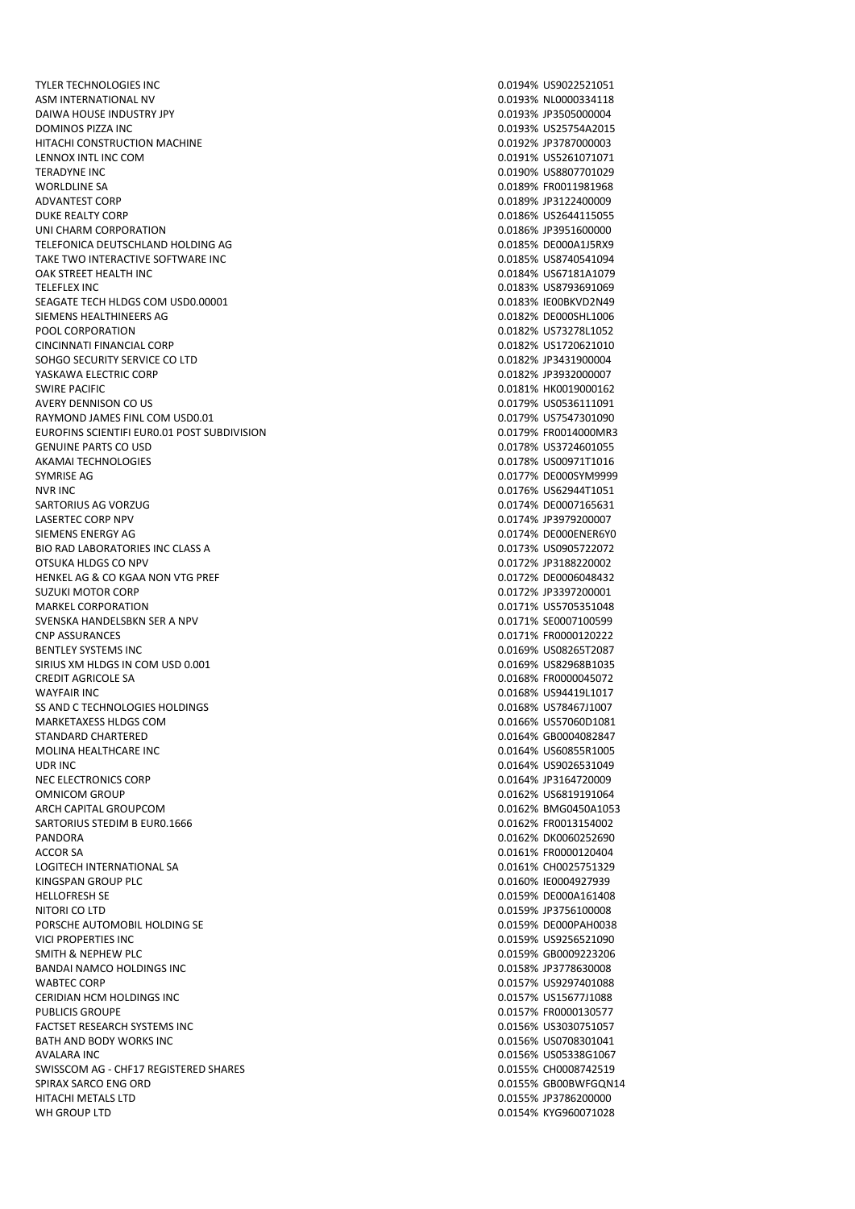TYLER TECHNOLOGIES INC **CONSUMING THE CONSUMING THE CONSUMING TO A CONSUMING THE CONSUMING TO A CONSUMING THE CONSUMING TO A CONSUMING THE CONSUMING THE CONSUMING TO A CONSUMING THE CONSUMING THE CONSUMING THE CONSUMING TH** ASM INTERNATIONAL NV 0.0193% NL0000334118 DAIWA HOUSE INDUSTRY JPY 0.0193% JP3505000004 DOMINOS PIZZA INC 0.0193% US25754A2015 HITACHI CONSTRUCTION MACHINE 0.0192% JP3787000003 LENNOX INTL INC COM 0.0191% US5261071071 TERADYNE INC 0.0190% US8807701029 ADVANTEST CORP 0.0189% JP3122400009 DUKE REALTY CORP 0.0186% US2644115055 UNI CHARM CORPORATION **DESCRIPTION** 0.0186% JP3951600000 TELEFONICA DEUTSCHLAND HOLDING AG 0.0185% DE000A1J5RX9 TAKE TWO INTERACTIVE SOFTWARE INC OAK STREET HEALTH INC **ORDUGE 10.0124% US67181A1079** TELEFLEX INC 0.0183% US8793691069 SEAGATE TECH HLDGS COM USD0.00001 0.0183% IE00BKVD2N49 SIEMENS HEALTHINEERS AG 3. 2002 - 2003 - 2004 10:001 2006 10:001 2006 2007 2008 2009 2010 2010 2010 2010 2010 POOL CORPORATION 0.0182% US73278L1052 CINCINNATI FINANCIAL CORP **0.0182% US1720621010** SOHGO SECURITY SERVICE CO LTD 0.0182% JP3431900004 YASKAWA ELECTRIC CORP **CONFIDENTIAL CORP CONTROL** CONFIDENTIAL CORP CONTROL CONFIDENTIAL CORP CONTROL CONFIDENTIAL CONFIDENTIAL CONFIDENTIAL CONFIDENTIAL CONFIDENTIAL CONFIDENTIAL CONFIDENTIAL CONFIDENTIAL CONFIDENTIAL CON SWIRE PACIFIC **STATES AND RELEASE ASSESSED ASSOCIATE** A STATE OF THE CONTROL OF THE CONTROL OF THE CONTROL OF THE CONTROL OF THE CONTROL OF THE CONTROL OF THE CONTROL OF THE CONTROL OF THE CONTROL OF THE CONTROL OF THE CON AVERY DENNISON CO US **2.012 CONTRACT CONTRACT CONTRACT CONTRACT CONTRACT CONTRACT CONTRACT CONTRACT CONTRACT CONTRACT CONTRACT CONTRACT CONTRACT CONTRACT CONTRACT CONTRACT CONTRACT CONTRACT CONTRACT CONTRACT CONTRACT CONTR** RAYMOND JAMES FINL COM USD0.01 0.0179% US7547301090 EUROFINS SCIENTIFI EURO.01 POST SUBDIVISION CONTROL CONTROL CONTROL CONTROL CONTROL CONTROL CONTROL CONTROL CONTROL CONTROL CONTROL CONTROL CONTROL CONTROL CONTROL CONTROL CONTROL CONTROL CONTROL CONTROL CONTROL CONTROL CO GENUINE PARTS CO USD 0.0178% US3724601055 AKAMAI TECHNOLOGIES 0.0178% US00971T1016 SYMRISE AG 0.0177% DE000SYM9999 NVR INC 0.0176% US62944T1051 SARTORIUS AG VORZUG 0.0174% DE0007165631 LASERTEC CORP NPV 0.0174% JP3979200007 SIEMENS ENERGY AG 0.0174% DE000ENER6Y0 BIO RAD LABORATORIES INC CLASS A 0.0173% US0905722072 OTSUKA HLDGS CO NPV 0.0172% JP3188220002 HENKEL AG & CO KGAA NON VTG PREF SUZUKI MOTOR CORP 0.0172% JP3397200001 MARKEL CORPORATION 0.0171% US5705351048 SVENSKA HANDELSBKN SER A NPV 0.0171% SE0007100599 CNP ASSURANCES 0.0171% FR0000120222 BENTLEY SYSTEMS INC **DEVELOPS** ON A 1990 ON A 1990 ON A 1990 ON A 1990 ON A 1990 ON A 1990 ON A 1990 ON A 1990 ON A 1990 ON A 1990 ON A 1990 ON A 1990 ON A 1990 ON A 1990 ON A 1990 ON A 1990 ON A 1990 ON A 1990 ON A 1990 O SIRIUS XM HLDGS IN COM USD 0.001 0.0169% US82968B1035 CREDIT AGRICOLE SA 0.0168% FR0000045072 WAYFAIR INC 0.0168% US94419L1017 SS AND C TECHNOLOGIES HOLDINGS **CONSUMING AND CONSUMING A** CONSUMING A CONSUMING A CONSUMING A CONSUMING A CONSUMING A CONSUMING A CONSUMING A CONSUMING A CONSUMING A CONSUMING A CONSUMING A CONSUMING A CONSUMING A CONSUMI MARKETAXESS HLDGS COM 0.0166% US57060D1081 STANDARD CHARTERED **CHARTERED CONSUMING THE CONSUMING STANDARD CONSUMING THE CONSUMING SECTION OF A SECOND STANDARD CONSUMING SECTION OF A SECOND STANDARD STANDARD STANDARD STANDARD STANDARD STANDARD STANDARD STANDARD ST** MOLINA HEALTHCARE INC UDR INC 0.0164% US9026531049 NEC ELECTRONICS CORP **0.0164% JP3164720009** OMNICOM GROUP **0.0162% US6819191064** ARCH CAPITAL GROUPCOM **0.0162% BMG0450A1053** SARTORIUS STEDIM B EUR0.1666 0.0162% FR0013154002 ACCOR SA 0.0161% FR0000120404 LOGITECH INTERNATIONAL SA **CHOOZETS** 10.0161% CH0025751329 KINGSPAN GROUP PLC 0.0160% IE0004927939 HELLOFRESH SE 0.0159% DE000A161408 NITORI CO LTD 0.0159% JP3756100008 PORSCHE AUTOMOBIL HOLDING SE 0.0159% DE000PAH0038 VICI PROPERTIES INC 0.0159% US9256521090 SMITH & NEPHEW PLC 0.0159% GB0009223206 BANDAI NAMCO HOLDINGS INC WABTEC CORP 0.0157% US9297401088 CERIDIAN HCM HOLDINGS INC<br>
CERIDIAN HCM HOLDINGS INC PUBLICIS GROUPE **1.0157% FR0000130577** FACTSET RESEARCH SYSTEMS INC **CONTRACTS INCLUSIVE ACTS** CONTRACTS ON DESIGNATION OF THE RESEARCH SYSTEMS INC BATH AND BODY WORKS INC **DEVELOPED ASSAULT AND SOLUTION** ON DEVICE A 1990 100156% US0708301041 AVALARA INC 0.0156% US05338G1067 SWISSCOM AG - CHE17 REGISTERED SHARES 0.0155% CH0008742519 SPIRAX SARCO ENG ORD 6.0155% GB00BWFGQN14 HITACHI METALS LTD 0.0155% JP3786200000 WH GROUP LTD 0.0154% KYG960071028

0.0189% FR0011981968 0.0162% DK0060252690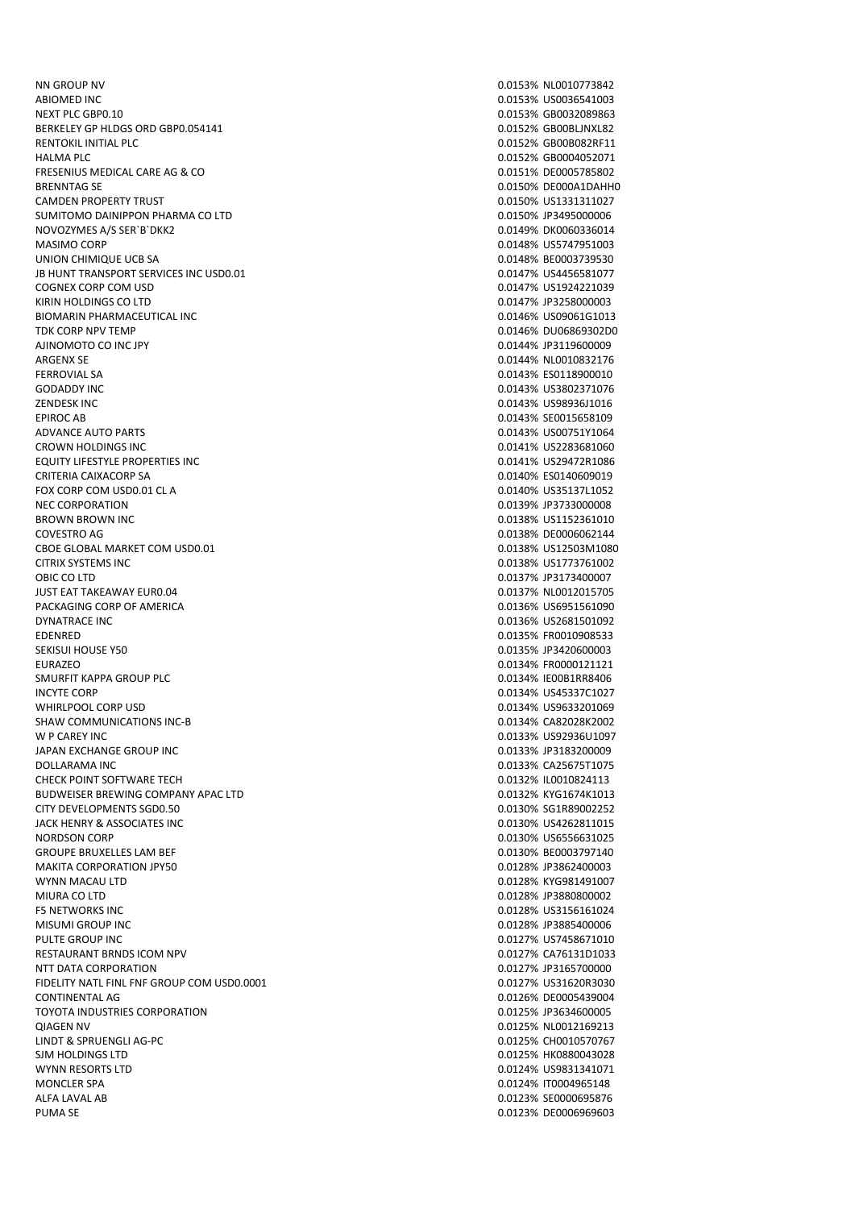NN GROUP NV 0.0153% NL0010773842 ABIOMED INC 6.0153% US0036541003 NEXT PLC GBP0.10 0.0153% GB0032089863 BERKELEY GP HLDGS ORD GBP0.054141 CONSERVERSION CONSERVERSE ON A SERKELEY GP HLDGS ORD GB00BLJNXL82 RENTOKIL INITIAL PLC **Annual PLACE CONSUMING CONSUMING CONSUMING CONSUMING CONSUMING CONSUMING CONSUMING CONSUMING CONSUMING CONSUMING CONSUMING CONSUMING CONSUMING CONSUMING CONSUMING CONSUMING CONSUMING CONSUMING CONSUMI** HALMA PLC 0.0152% GB0004052071 FRESENIUS MEDICAL CARE AG & CO 0.0151% DE0005785802 BRENNTAG SE 0.0150% DE000A1DAHH0 CAMDEN PROPERTY TRUST 0.0150% US1331311027 SUMITOMO DAINIPPON PHARMA CO LTD 0.0150% JP3495000006 NOVOZYMES A/S SER`B`DKK2 and the state of the state of the state of the state of the state of the state of the state of the state of the state of the state of the state of the state of the state of the state of the state o MASIMO CORP 0.0148% US5747951003 UNION CHIMIQUE UCB SA JB HUNT TRANSPORT SERVICES INC USD0.01 0.0147% US4456581077 COGNEX CORP COM USD 0.0147% US1924221039 KIRIN HOLDINGS CO LTD 8000003 CO LTD 0.0147% JP3258000003 BIOMARIN PHARMACEUTICAL INC **1.12 and 2.0146 and 2.0146 and 2.0146 and 2.0146 and 2.0146 and 2.0146 and 2.0146 and 2.0146 and 2.0146 and 2.0146 and 2.0146 and 2.0146 and 2.0146 and 2.0146 and 2.0146 and 2.0146 and 2.0146 a** TDK CORP NPV TEMP **CORP NPV TEMP** 0.0146% DU06869302D0 AJINOMOTO CO INC JPY 0.0144% JP3119600009 ARGENX SE 0.0144% NL0010832176 FERROVIAL SA 0.0143% ES0118900010 GODADDY INC 0.0143% US3802371076 ZENDESK INC 0.0143% US98936J1016 EPIROC AB 0.0143% SE0015658109 ADVANCE AUTO PARTS **0.0143% US00751Y1064** CROWN HOLDINGS INC 0.0141% US2283681060 EQUITY LIFESTYLE PROPERTIES INC **EXECUTES** INCLUSION CONTROLLER THE CONTROLLER CONTROLLER THE CONTROLLER CONTROLLER CRITERIA CAIXACORP SA 0.0140% ES0140609019 FOX CORP COM USD0.01 CL A 0.0140% US35137L1052 NEC CORPORATION **NEC CORPORATION NEC CORPORATION** BROWN BROWN INC 0.0138% US1152361010 COVESTRO AG 0.0138% DE0006062144 CBOE GLOBAL MARKET COM USD0.01 0.0138% US12503M1080 CITRIX SYSTEMS INC 0.0138% US1773761002 OBIC CO LTD 0.0137% JP3173400007 JUST EAT TAKEAWAY EUR0.04 0.0137% NL0012015705 PACKAGING CORP OF AMERICA<br>DYNATRACE INC ONE OF AMERICA DESCRIPTION OF A SERIES OF A SERIES OF A SERIES OF A SERIES OF A SERIES OF A SERIES OF A SERIES OF A SERIES OF A SERIES OF A SERIES OF A SERIES OF A SERIES OF A SERIES EDENRED 0.0135% FR0010908533 EURAZEO 0.0134% FR0000121121 SMURFIT KAPPA GROUP PLC **CONSERVERSE AND CONSERVERSE AND RESIDENT CONSERVERSE AND RESIDENT CONSERVERSE AND RESIDENT CONSERVERSE AND RESIDENCE AND RESIDENCE AND RESIDENCE AND RESIDENCE AND RESIDENCE AND RESIDENCE AND RESIDE** INCYTE CORP 0.0134% US45337C1027 WHIRLPOOL CORP USD 0.0134% US9633201069 SHAW COMMUNICATIONS INC-B 0.0134% CA82028K2002 W P CAREY INC 0.0133% US92936U1097 JAPAN EXCHANGE GROUP INC 0.0133% JP3183200009 DOLLARAMA INC 0.0133% CA25675T1075 CHECK POINT SOFTWARE TECH 0.0132% IL0010824113 BUDWEISER BREWING COMPANY APAC LTD 0.0132% KYG1674K1013 CITY DEVELOPMENTS SGD0.50 0.0130% SG1R89002252 JACK HENRY & ASSOCIATES INC 0.0130% US4262811015 GROUPE BRUXELLES LAM BEF **GROUPE BRUXELLES LAM BEF** 0.0130% BE0003797140 MAKITA CORPORATION JPY50 0.0128% JP3862400003 WYNN MACAU LTD 0.0128% KYG981491007 MIURA CO LTD 0.0128% JP3880800002 F5 NETWORKS INC 0.0128% US3156161024 MISUMI GROUP INC 0.0128% JP3885400006 PULTE GROUP INC **DESCRIPTION OF A SET OF A SET OF A SET OF A SET OF A SET OF A SET OF A SET OF A SET OF A SET OF A SET OF A SET OF A SET OF A SET OF A SET OF A SET OF A SET OF A SET OF A SET OF A SET OF A SET OF A SET OF A** RESTAURANT BRNDS ICOM NPV **EXECUTE IS A SEX ON SEX ON A SEX OLD SEX ON A SEX OLD SEX ON A SEX OF SEX OF SEX OF SEX OF SEX OF SEX OF SEX OF SEX OF SEX OF SEX OF SEX OF SEX OF SEX OF SEX OF SEX OF SEX OF SEX OF SEX OF SEX OF** NTT DATA CORPORATION **0.0127% JP3165700000** FIDELITY NATL FINL FNF GROUP COM USD0.0001 0.0127% US31620R3030 CONTINENTAL AG 0.0126% DE0005439004 TOYOTA INDUSTRIES CORPORATION QIAGEN NV 0.0125% NL0012169213 LINDT & SPRUENGLI AG-PC 0.0125% CH0010570767 SJM HOLDINGS LTD 0.0125% HK0880043028 WYNN RESORTS LTD 0.0124% US9831341071 MONCLER SPA 0.0124% IT0004965148 ALFA LAVAL AB 0.0123% SE0000695876 PUMA SE 0.0123% DE0006969603

0.0136% US2681501092 0.0135% JP3420600003 0.0130% US6556631025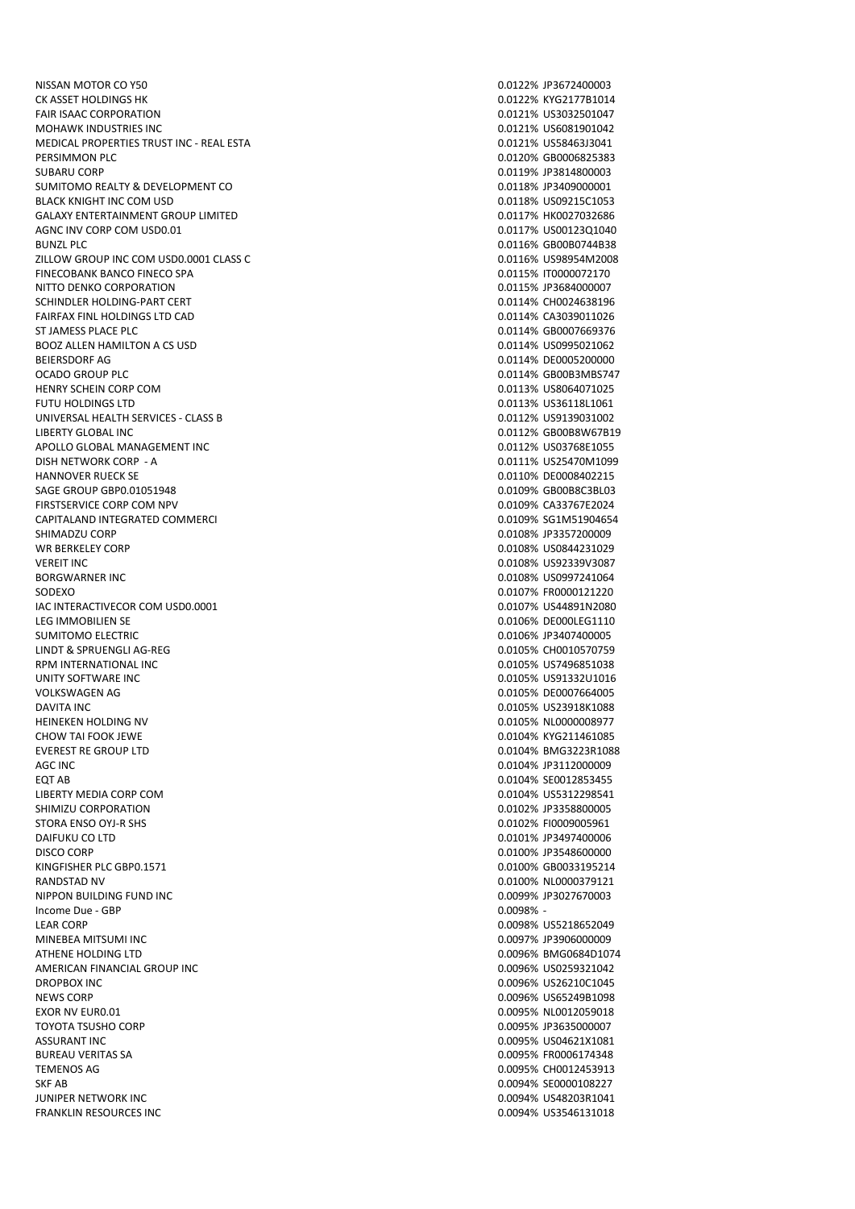NISSAN MOTOR CO Y50 0.0122% JP3672400003 CK ASSET HOLDINGS HK 0.0122% KYG2177B1014 FAIR ISAAC CORPORATION 0.0121% US3032501047 MOHAWK INDUSTRIES INC **CONSERVERS INCLUDES INC.** THE CONSERVERSION ON A SECOND OUTLINE ON A SECOND OUTLINE OF A SAMPLE OF A SECOND OUTLINE OF A SECOND OUTLINE OF A SECOND OUTLINE OF A SECOND OUTLINE OF A SECOND OUTLINE OF MEDICAL PROPERTIES TRUST INC - REAL ESTA 0.0121% US58463J3041 PERSIMMON PLC 800006825383 SUBARU CORP<br>SUMITOMO REALTY & DEVELOPMENT CO<br>
0.0118% JP3409000001 SUMITOMO REALTY & DEVELOPMENT CO. BLACK KNIGHT INC COM USD **DESIGN ON THE SET ON THE SET ON THE SET ON THE SET ON THE SET OF OUR SET OF OUR SET OF SET OF OUR SET OF OUR SET OF OUR SET OF OUR SET OF OUR SET OF OUR SET OF OUR SET OF OUR SET OF OUR SET OF OUR** GALAXY ENTERTAINMENT GROUP LIMITED CONTROLLED THE CONTROLLED ON DESCRIPTION ON A GALAXY ENTERTAINMENT GROUP LIMITED AGNC INV CORP COM USD0.01 **0.0117%** US00123Q1040 BUNZL PLC 0.0116% GB00B0744B38 ZILLOW GROUP INC COM USD0.0001 CLASS C FINECOBANK BANCO FINECO SPA **0.0115% IT0000072170** NITTO DENKO CORPORATION 0.0115% JP3684000007 SCHINDLER HOLDING-PART CERT **CERT CERT CERT CERT CERT CERT CERT CERT** CHOO24638196 FAIRFAX FINL HOLDINGS LTD CAD 0.0114% CA3039011026 ST JAMESS PLACE PLC **CONTROLLER IN THE ST JAMESS PLACE PLC CONTROLLER IN THE ST JAMESS PLACE PLC** BOOZ ALLEN HAMILTON A CS USD 6002 ALLEN HAMILTON A CS USD BEIERSDORF AG 0.0114% DE0005200000 OCADO GROUP PLC 8000B3MBS747 HENRY SCHEIN CORP COM **DESCRIPTION CORPORATION** CORPORATIONS FUTU HOLDINGS LTD 0.0113% US36118L1061 UNIVERSAL HEALTH SERVICES - CLASS B 0.0112% US9139031002 LIBERTY GLOBAL INC 0.0112% GB00B8W67B19 APOLLO GLOBAL MANAGEMENT INC DISH NETWORK CORP - A 0.0111% US25470M1099 HANNOVER RUECK SE 0.0110% DE0008402215 SAGE GROUP GBP0.01051948 0.0109% GB00B8C3BL03 FIRSTSERVICE CORP COM NPV **CASS AND CONVERT CONVERTS AND CONVERTS ASSESSED A** CASS OF CASS AND CONVERT CORP. THE CORP OF CASS AND CONVERT CONVERTS AND CONVERT CONVERTS AND CONVERT CONVERTS AND CONVERT CONVERTS AND CONVERT CAPITALAND INTEGRATED COMMERCI 0.0109% SG1M51904654 SHIMADZU CORP 0.0108% JP3357200009 WR BERKELEY CORP 0.0108% US0844231029 VEREIT INC 0.0108% US92339V3087 SODEXO 0.0107% FR0000121220 IAC INTERACTIVECOR COM USD0.0001 0.0107% US44891N2080 SUMITOMO ELECTRIC **CONSUMITOMO ELECTRIC CONSUMITOMO ELECTRIC** LINDT & SPRUENGLI AG-REG 0.0105% CH0010570759 RPM INTERNATIONAL INC 8 0.0105% US7496851038 UNITY SOFTWARE INC 0.0105% US91332U1016 VOLKSWAGEN AG 0.0105% DE0007664005 DAVITA INC 0.0105% US23918K1088 HEINEKEN HOLDING NV 0.0105% NL0000008977 CHOW TAI FOOK JEWE **CHOW TAI FOOK JEWE** 2001 12:00 12:00 12:00 12:00 12:00 12:00 12:00 12:00 12:00 12:00 12:00 12:00 12:00 12:00 12:00 12:00 12:00 12:00 12:00 12:00 12:00 12:00 12:00 12:00 12:00 12:00 12:00 12:00 12:00 12: EVEREST RE GROUP LTD CONTROL CONTROL CONTROL CONTROL CONTROL CONTROL CONTROL CONTROL CONTROL CONTROL CONTROL CONTROL CONTROL CONTROL CONTROL CONTROL CONTROL CONTROL CONTROL CONTROL CONTROL CONTROL CONTROL CONTROL CONTROL C AGC INC 0.0104% JP3112000009 EQT AB 0.0104% SE0012853455 LIBERTY MEDIA CORP COM 0.0104% US5312298541 SHIMIZU CORPORATION 6-8 AND THE SERVICE OF PROPERTY AND THE SERVICE OF PASSES AND THE SERVICE OF PROPERTY AND THE SERVICE OF PROPERTY AND THE SERVICE OF PROPERTY AND THE SERVICE OF PROPERTY AND THE SERVICE OF PROPERTY AND STORA ENSO OYJ-R SHS 0.0102% FI0009005961 DISCO CORP 0.0100% JP3548600000 KINGFISHER PLC GBP0.1571 **0.0100% GB0033195214** RANDSTAD NV 0.0100% NL0000379121 NIPPON BUILDING FUND INC Income Due - GBP 0.0098% - LEAR CORP 0.0098% US5218652049 MINEBEA MITSUMI INC 0.0097% JP3906000009 ATHENE HOLDING LTD 0.0096% BMG0684D1074 AMERICAN FINANCIAL GROUP INC DROPBOX INC 0.0096% US26210C1045 NEWS CORP 0.0096% US65249B1098 EXOR NV EURO.01 **DEVELOPED AND LOCAL CONTRACT CONTRACT ON A SECOND COOPS AND COOPS AND DO12059018** TOYOTA TSUSHO CORP 0.0095% JP3635000007 ASSURANT INC 0.0095% US04621X1081 BUREAU VERITAS SA 0.0095% FR0006174348 TEMENOS AG 0.0095% CH0012453913 SKF AB 0.0094% SE0000108227 JUNIPER NETWORK INC 0.0094% US48203R1041

0.0108% US0997241064 0.0106% DE000LEG1110 0.0101% JP3497400006 0.0094% US3546131018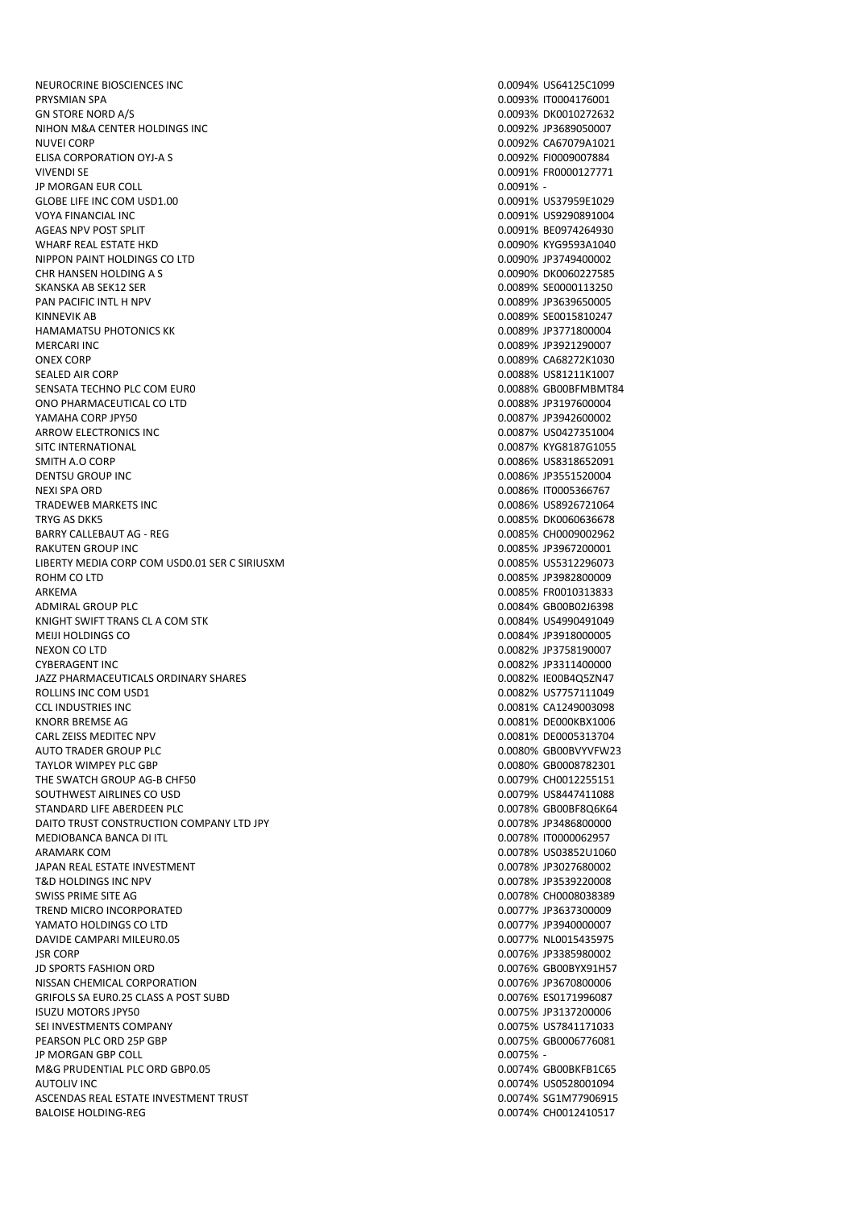NEUROCRINE BIOSCIENCES INC **0.0094% US64125C1099** 0.00044% US64125C1099 PRYSMIAN SPA 0.0093% IT0004176001 GN STORE NORD A/S 0.0093% DK0010272632 NIHON M&A CENTER HOLDINGS INC 0.0092% JP3689050007 NUVEI CORP 0.0092% CA67079A1021 ELISA CORPORATION OYJ-A S<br>
20.0092% FI0009007884 VIVENDI SE 0.0091% FR0000127771 **JP MORGAN EUR COLL** GLOBE LIFE INC COM USD1.00 0.0091% US37959E1029 VOYA FINANCIAL INC 0.0091% US9290891004 AGEAS NPV POST SPLIT **ACCOUNT ASSESSED ASSAULT** 0.0091% BE0974264930 WHARF REAL ESTATE HKD 0.0090% KYG9593A1040 NIPPON PAINT HOLDINGS CO LTD CHR HANSEN HOLDING A S 0.0090% DK0060227585 SKANSKA AB SEK12 SER 0.0089% SE0000113250 PAN PACIFIC INTL H NPV 0.0089% JP3639650005 KINNEVIK AB 0.0089% SE0015810247 HAMAMATSU PHOTONICS KK 0.0089% JP3771800004 MERCARI INC 0.0089% JP3921290007 ONEX CORP 0.0089% CA68272K1030 SEALED AIR CORP **0.0088%** US81211K1007 SENSATA TECHNO PLC COM EURO **DEL EURO DE EURO DE EURO DE EURO DE EURO DE EURO DE EURO DE EURO DE EURO DE EURO DE** ONO PHARMACEUTICAL CO LTD 0.0088% JP3197600004 YAMAHA CORP JPY50 0.0087% JP3942600002 ARROW FLECTRONICS INC. **ARROW ELECTRONICS** INC. SITC INTERNATIONAL 6 CONSUMING THE SITC INTERNATIONAL CONSUMING THE SET OF STREET AND RESERVE TO A SAFE OF STREET AND RESERVE TO A SAFE OF STREET AND RESERVE TO A SAFE OF STREET AND RESERVE TO A SAFE OF STREET AND RESERVE SMITH A.O. CORP 0.0086% US8318652091 DENTSU GROUP INC 0.0086% JP3551520004 NEXI SPA ORD 0.0086% IT0005366767 TRADEWEB MARKETS INC 0.0086% US8926721064 TRYG AS DKK5 0.0085% DK0060636678 BARRY CALLEBAUT AG - REG 0.0085% CH0009002962 RAKUTEN GROUP INC **CONSERVERSITY OF A CONSERVERSITY OF A CONSERVERSITY OF A CONSERVERSITY OF A CONSERVERSITY OF A CONSERVERSITY OF A CONSERVERSITY OF A CONSERVERSITY OF A CONSERVERSITY OF A CONSERVERSITY OF A CONSERVERSITY** LIBERTY MEDIA CORP COM USD0.01 SER C SIRIUSXM **0.0085%** US5312296073 ROHM CO LTD 0.0085% JP3982800009 ARKEMA 0.0085% FR0010313833 ADMIRAL GROUP PLC ADMIRAL GROUP PLOT CONSUMING A CHARGE OF CONSUMING A CHARGE OF CONSUMING A CHARGE OF CONSUMING A CHARGE OF CONSUMING A CHARGE OF CONSUMING A CHARGE OF CONSUMING A CHARGE OF CONSUMING A CHARGE OF CONSUMING KNIGHT SWIFT TRANS CL A COM STK 6 AND THE SWIFT ON A STATE OF A STATE OF A STATE OF A STATE OF A STATE OF A ST MEIJI HOLDINGS CO 0.0084% JP3918000005 CYBERAGENT INC 0.0082% JP3311400000 JAZZ PHARMACEUTICALS ORDINARY SHARES 0.0082% IE00B4Q5ZN47 ROLLINS INC COM USD1 0.0082% US7757111049 CCL INDUSTRIES INC 0.0081% CA1249003098 KNORR BREMSE AG **2.000 AG 10.0081% DE000KBX1006** CARL ZEISS MEDITEC NPV **CARL ZEISS MEDITEC NPV 0.0081% DE0005313704** AUTO TRADER GROUP PLC 0.0080% GB00BVYVFW23 TAYLOR WIMPEY PLC GBP 0.0080% GB0008782301 THE SWATCH GROUP AG-B CHF50 0.0079% CHO012255151 SOUTHWEST AIRLINES CO USD 0.0079% US8447411088 STANDARD LIFE ABERDEEN PLC **CONTRACT CONTRACT CONTRACT CONTRACT CONTRACT CONTRACT CONTRACT CONTRACT CONTRACT CONTRACT CONTRACT CONTRACT CONTRACT CONTRACT CONTRACT CONTRACT CONTRACT CONTRACT CONTRACT CONTRACT CONTRACT CONTR** DAITO TRUST CONSTRUCTION COMPANY LTD JPY CONSTRUCTION COMPANY LTD JPY MEDIOBANCA BANCA DI ITL 0.0078% IT0000062957 ARAMARK COM **0.0078% US03852U1060** JAPAN REAL ESTATE INVESTMENT 0.0078% JP3027680002 T&D HOLDINGS INC NPV 6.0078% JP3539220008 SWISS PRIME SITE AG 0.0078% CH0008038389 TREND MICRO INCORPORATED 0.0077% JP3637300009 YAMATO HOLDINGS CO LTD 0.0077% JP3940000007 DAVIDE CAMPARI MILEUR0.05 0.0077% NL0015435975 JSR CORP 0.0076% JP3385980002 JD SPORTS FASHION ORD NISSAN CHEMICAL CORPORATION 0.0076% JP3670800006 GRIFOLS SA EUR0.25 CLASS A POST SUBD 0.0076% ES0171996087 ISUZU MOTORS JPY50 0.0075% JP3137200006 SEI INVESTMENTS COMPANY **COMPANY 1.00075% US7841171033** PEARSON PLC ORD 25P GBP 0.0075% GB0006776081 JP MORGAN GBP COLL **DESIGN COLL CONTROL** 20.0075% -M&G PRUDENTIAL PLC ORD GBP0.05 0.0074% GB00BKFB1C65 AUTOLIV INC 0.0074% US0528001094 ASCENDAS REAL ESTATE INVESTMENT TRUST 0.0074% SG1M77906915 BALOISE HOLDING-REG 0.0074% CH0012410517

0.0082% JP3758190007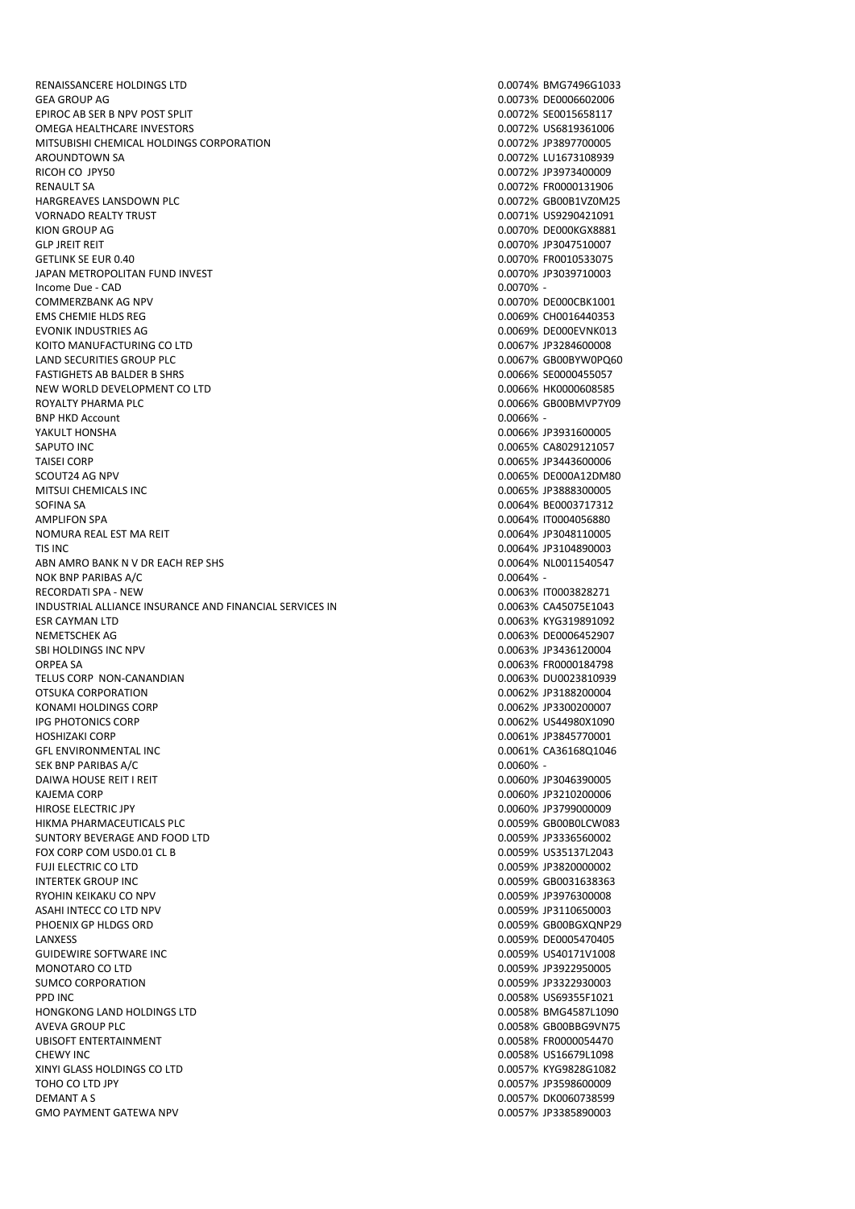RENAISSANCERE HOLDINGS LTD 0.0074% BMG7496G1033 GEA GROUP AG 0.0073% DE0006602006 EPIROC AB SER B NPV POST SPLIT **CONTRACT CONTRACT CONTRACT CONTRACT CONTRACT CONTRACT CONTRACT CONTRACT CONTRACT CONTRACT CONTRACT CONTRACT CONTRACT CONTRACT CONTRACT CONTRACT CONTRACT CONTRACT CONTRACT CONTRACT CONTRACT C** OMEGA HEALTHCARE INVESTORS **CONSERVERS IN A SERVICE SERVICE SCIENCE AND A SERVICE SCIENCE OF A SERVICE SCIENCE O** MITSUBISHI CHEMICAL HOLDINGS CORPORATION 0.0072% JP3897700005 AROUNDTOWN SA 0.0072% LU1673108939 RICOH CO JPY50 0.0072% JP3973400009 HARGREAVES LANSDOWN PLC<br>
VORNADO REALTY TRUST<br>
VORNADO REALTY TRUST VORNADO REALTY TRUST KION GROUP AG **0.0070% DE000KGX8881** GLP JREIT REIT EIT EITHEIT ANN AN 1970-10007 (GETLINK SE EUR 0.0070% JP3047510007<br>GETLINK SE EUR 0.40 JAPAN METROPOLITAN FUND INVEST 0.0070% JP3039710003  $I_n$  Income Due - CAD  $\overline{0.0070\%}$  -COMMERZBANK AG NPV **COMMERZBANK AG NPV** 0.0070% DE000CBK1001 EMS CHEMIE HLDS REG 0.0069% CH0016440353 EVONIK INDUSTRIES AG **DE 1999 EN 1999 EN 1999 EN 1999 EN 1999 EN 1999 EN 1999 EN 1999 EN 1999 EN 1999 EN 1999 EN 1999 EN 1999 EN 1999 EN 1999 EN 1999 EN 1999 EN 1999 EN 1999 EN 1999 EN 1999 EN 1999 EN 1999 EN 1999 EN 1999** KOITO MANUFACTURING CO LTD 0.0067% JP3284600008 LAND SECURITIES GROUP PLC 0.0067% GB00BYW0PQ60 FASTIGHETS AB BALDER B SHRS 6 NOTES AND THE SECOND SECOND ASSESS TO A 1999 A SECOND ASSESS TO A 1999 A SECOND ASSESS TO A 1999 A SECOND ASSESS TO A 1999 A SECOND ASSESS TO A 1999 A SECOND ASSESS TO A 1999 A SECOND ASSESS T NEW WORLD DEVELOPMENT CO LTD 0.0066% HK0000608585 ROYALTY PHARMA PLC **CONSERVERSITY PHARMA PLC** BNP HKD Account **0.0066%** - 0.0066% - 0.0066% - 0.0066% - 0.0066% - 0.0066% - 0.0066% - 0.0066% - 0.0066% - 0.00 YAKULT HONSHA 0.0066% JP3931600005 SAPUTO INC 0.0065% CA8029121057 TAISEI CORP **CORP CORP CONTROL** CORP CONTROL CONTROL CONTROL CORP. CONTROL CORP CONTROL CORP SCOUT24 AG NPV 80000A12DM80 MITSUI CHEMICALS INC SOFINA SA 0.0064% BE0003717312 AMPLIFON SPA 0.0064% IT0004056880 NOMURA REAL EST MA REIT **NOMURA REAL EST MA REIT 1.00064% JP3048110005** TIS INC 0.0064% JP3104890003 ABN AMRO BANK N V DR EACH REP SHS 0.0064% NL0011540547 NOK BNP PARIBAS A/C 0.0064% - 0.0064% - 0.0064% - 0.0064% - 0.0064% - 0.0064% - 0.0064% - 0.0064% - 0.0064% - 0.0064% - 0.0064% - 0.0064% - 0.0064% - 0.0064% - 0.0064% - 0.0064% - 0.0064% - 0.0064% - 0.0064% - 0.0064% - 0. RECORDATI SPA - NEW 0.0063% IT0003828271 INDUSTRIAL ALLIANCE INSURANCE AND FINANCIAL SERVICES INC 0.0063% CA45075E1043 ESR CAYMAN LTD 0.0063% KYG319891092 NEMETSCHEK AG 0.0063% DE0006452907 ORPEA SA 0.0063% FR0000184798 TELUS CORP NON-CANANDIAN 0.0063% DU0023810939 OTSUKA CORPORATION 0.0062% JP3188200004 KONAMI HOLDINGS CORP 0.0062% JP3300200007 IPG PHOTONICS CORP 0.0062% US44980X1090 HOSHIZAKI CORP 0.0061% JP3845770001 GFL ENVIRONMENTAL INC<br>SEK BNP PARIBAS A/C<br>SEK BNP PARIBAS A/C SEK BNP PARIBAS A/C DAIWA HOUSE REIT I REIT 0.0060% JP3046390005 KAJEMA CORP 0.0060% JP3210200006 HIROSE ELECTRIC JPY 0.0060% JP3799000009 HIKMA PHARMACEUTICALS PLC 0.0059% GB00B0LCW083 SUNTORY BEVERAGE AND FOOD LTD FOX CORP COM USD0.01 CL B 0.0059% US35137L2043 FUJI ELECTRIC CO LTD 0.0059% JP3820000002 INTERTEK GROUP INC 0.0059% GB0031638363 RYOHIN KEIKAKU CO NPV 0.0059% JP3976300008 ASAHI INTECC CO LTD NPV **1.2000 PM2000 PM2000 PM2000 PM2000 PM2000** 200059% JP3110650003 PHOENIX GP HLDGS ORD 0.0059% GB00BGXQNP29 LANXESS 0.0059% DE0005470405 GUIDEWIRE SOFTWARE INC 0.0059% US40171V1008 SUMCO CORPORATION 0.0059% JP3322930003 PPD INC 0.0058% US69355F1021 HONGKONG LAND HOLDINGS LTD AVEVA GROUP PLC **AVEVA GROUP PLACE A** CONSERVERS AND THE CONSERVERSE ON A SERVER AND THE CONSERVERS AND THE CONSERVERS AND THE CONSERVERS AND THE CONSERVERS AND THE CONSERVERS AND THE CONSERVERS AND THE CONSERVERS A CONSER UBISOFT ENTERTAINMENT 0.0058% FR0000054470 CHEWY INC 6.0058% US16679L1098 XINYI GLASS HOLDINGS CO LTD 0.0057% KYG9828G1082 TOHO CO LTD JPY 0.0057% JP3598600009 DEMANT A S 0.0057% DK0060738599 GMO PAYMENT GATEWA NPV 6 (1999) 20057% JP3385890003

0.0072% FR0000131906 0.0070% FR0010533075 0.0063% JP3436120004 0.0059% JP3922950005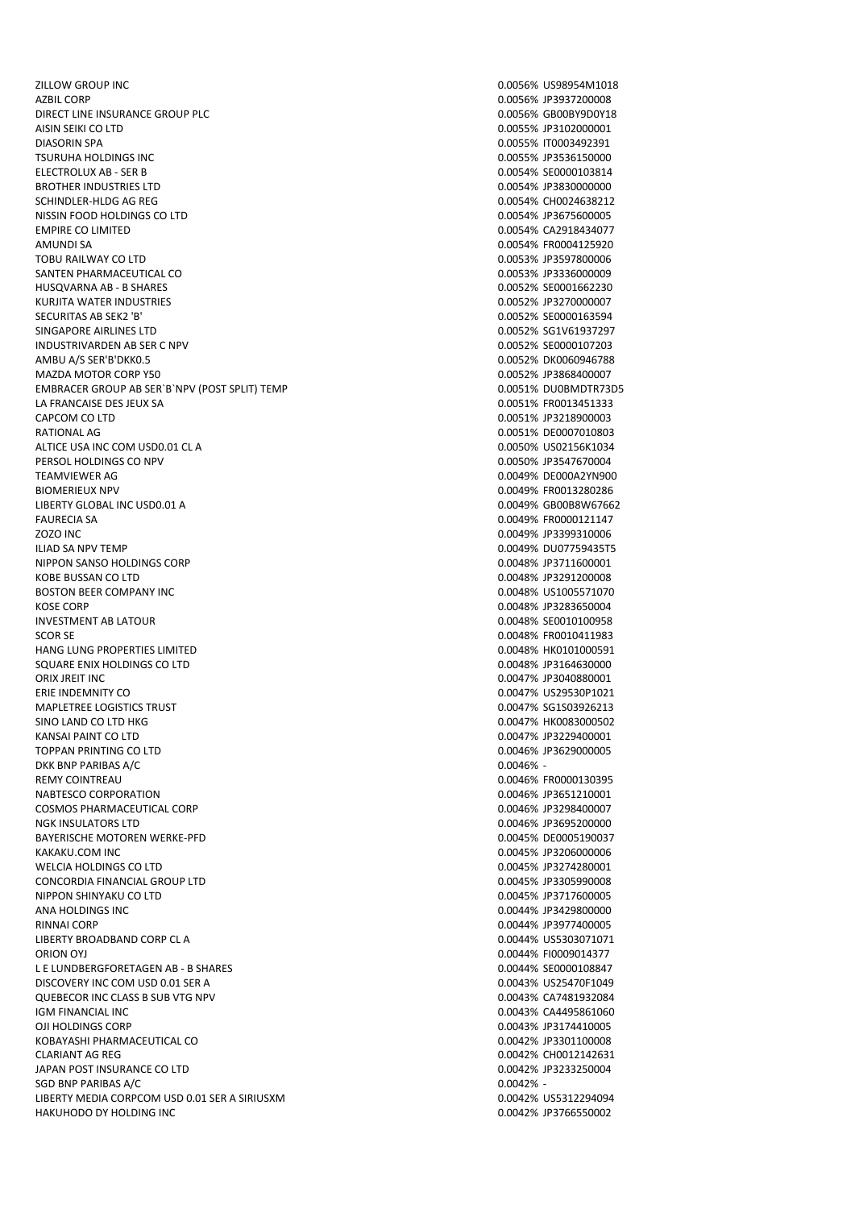ZILLOW GROUP INC 0.0056% US98954M1018 AZBIL CORP 0.0056% JP3937200008 DIRECT LINE INSURANCE GROUP PLC **DIRECT LINE INSURANCE GROUP PLC** AISIN SEIKI CO LTD 0.0055% JP3102000001 DIASORIN SPA 0.0055% IT0003492391 TSURUHA HOLDINGS INC 0.0055% JP3536150000 ELECTROLUX AB - SER B 0.0054% SE0000103814 BROTHER INDUSTRIES LTD SCHINDLER-HLDG AG REG 0.0054% CH0024638212 NISSIN FOOD HOLDINGS CO LTD 0.0054% JP3675600005 EMPIRE CO LIMITED 0.0054% CA2918434077 AMUNDI SA 0.0054% FR0004125920 SANTEN PHARMACEUTICAL CO **0.0053% JP3336000009** HUSQVARNA AB - B SHARES 0.0052% SE0001662230 KURJITA WATER INDUSTRIES 0.0052% JP3270000007 SECURITAS AB SEK2 'B' 0.0052% SE0000163594 SINGAPORE AIRLINES LTD 0.0052% SG1V61937297 INDUSTRIVARDEN AB SER C NPV 0.0052% SE0000107203 AMBU A/S SER'B'DKK0.5 0.0052% DK0060946788 MAZDA MOTOR CORP Y50 0.0052% JP3868400007 EMBRACER GROUP AB SER`B`NPV (POST SPLIT) TEMP 0.0051% DU0BMDTR73D5 LA FRANCAISE DES JEUX SA 0.0051% FROO13451333 CAPCOM CO LTD 0.0051% JP3218900003 RATIONAL AG 0.0051% DE0007010803 ALTICE USA INC COM USD0.01 CL A 0.0050% US02156K1034 PERSOL HOLDINGS CO NPV 0.0050% JP3547670004 TEAMVIEWER AG 0.0049% DE000A2YN900 BIOMERIEUX NPV **6.00013280286** FR0013280286 LIBERTY GLOBAL INC USD0.01 A 0.0049% GB00B8W67662 FAURECIA SA 0.0049% FR0000121147 ZOZO INC 0.0049% JP3399310006 ILIAD SA NPV TEMP 0.0049% DU07759435T5 NIPPON SANSO HOLDINGS CORP 8 (2004) 2012 12:30 12:30 12:30 12:30 12:30 12:30 12:30 12:30 12:30 12:30 12:30 12:30 12:30 12:30 12:30 12:30 12:30 12:30 12:30 12:30 12:30 12:30 12:30 12:30 12:30 12:30 12:30 12:30 12:30 12:30 1 KOBE BUSSAN CO LTD 0.0048% JP3291200008 BOSTON BEER COMPANY INC 0.0048% US1005571070 KOSE CORP 0.0048% JP3283650004 INVESTMENT AB LATOUR 0.0048% SE0010100958 SCOR SE 0.0048% FR0010411983 HANG LUNG PROPERTIES LIMITED SQUARE ENIX HOLDINGS CO LTD 0.0048% JP3164630000 ORIX JREIT INC 0.0047% JP3040880001 ERIE INDEMNITY CO 0.0047% US29530P1021 MAPLETREE LOGISTICS TRUST NATURAL SERVICE OF THE SERVICE OF THE SERVICE OF THE SERVICE OF THE SERVICE OF THE SCHOOL SERVICE OF THE SERVICE OF THE SERVICE OF THE SERVICE OF THE SERVICE OF THE SERVICE OF THE SERVICE OF THE S SINO LAND CO LTD HKG 0.0047% HK0083000502 KANSAI PAINT CO LTD 0.0047% JP3229400001 TOPPAN PRINTING CO LTD 0.0046% JP3629000005 DKK BNP PARIBAS A/C 0.0046% - 0.0046% - 0.0046% - 0.0046% - 0.0046% - 0.0046% - 0.0046% - 0.0046% - 0.0046% -REMY COINTREALL **REMY COINTREALL** NABTESCO CORPORATION 6.00046% JP3651210001 COSMOS PHARMACEUTICAL CORP **COSMOS PHARMACEUTICAL CORP** 0.0046% JP3298400007 NGK INSULATORS LTD 0.0046% JP3695200000 BAYERISCHE MOTOREN WERKE-PFD **DEFINITION** 0.0045% DE0005190037 KAKAKU COM INC **ANGELER ANG PERSONAL PROPERTY OF A CONSTRUCT OF A CONSTRUCT OF A CONSTRUCT OF A CONSTRUCTION** OF A CONSTRUCTION OF A CONSTRUCTION OF A CONSTRUCTION OF A CONSTRUCTION OF A CONSTRUCTION OF A CONSTRUCTION OF A WELCIA HOLDINGS CO LTD 0.0045% JP3274280001 CONCORDIA FINANCIAL GROUP LTD 0.0045% JP3305990008 NIPPON SHINYAKU CO LTD 0.0005 CONTROL DESCRIPTION ON A 41 YO 45 YO 45 YO 45 YO 45 YO 45 YO 45 YO 45 YO 45 YO 45 ANA HOLDINGS INC 0.0044% JP3429800000 RINNAI CORP 0.0044% JP3977400005 LIBERTY BROADBAND CORP CL A 0.0044% US5303071071 ORION OYJ 80009014377 L E LUNDBERGFORETAGEN AB - B SHARES 6.00044% SE0000108847 DISCOVERY INC COM USD 0.01 SER A 0.0043% US25470F1049 OLIERECOR INC CLASS B SUB VTG NPV 0.0043% CA7481932084 IGM FINANCIAL INC 0.0043% CA4495861060 OJI HOLDINGS CORP 0.0043% JP3174410005 KOBAYASHI PHARMACEUTICAL CO **0.0042% JP3301100008** CLARIANT AG REG 0.0042% CH0012142631 JAPAN POST INSURANCE CO LTD 0.0042% JP3233250004 SGD BNP PARIBAS A/C 0.0042% -LIBERTY MEDIA CORPCOM USD 0.01 SER A SIRIUSXM **0.0042%** US5312294094 HAKUHODO DY HOLDING INC **0.0042% JP3766550002** 

0.0053% JP3597800006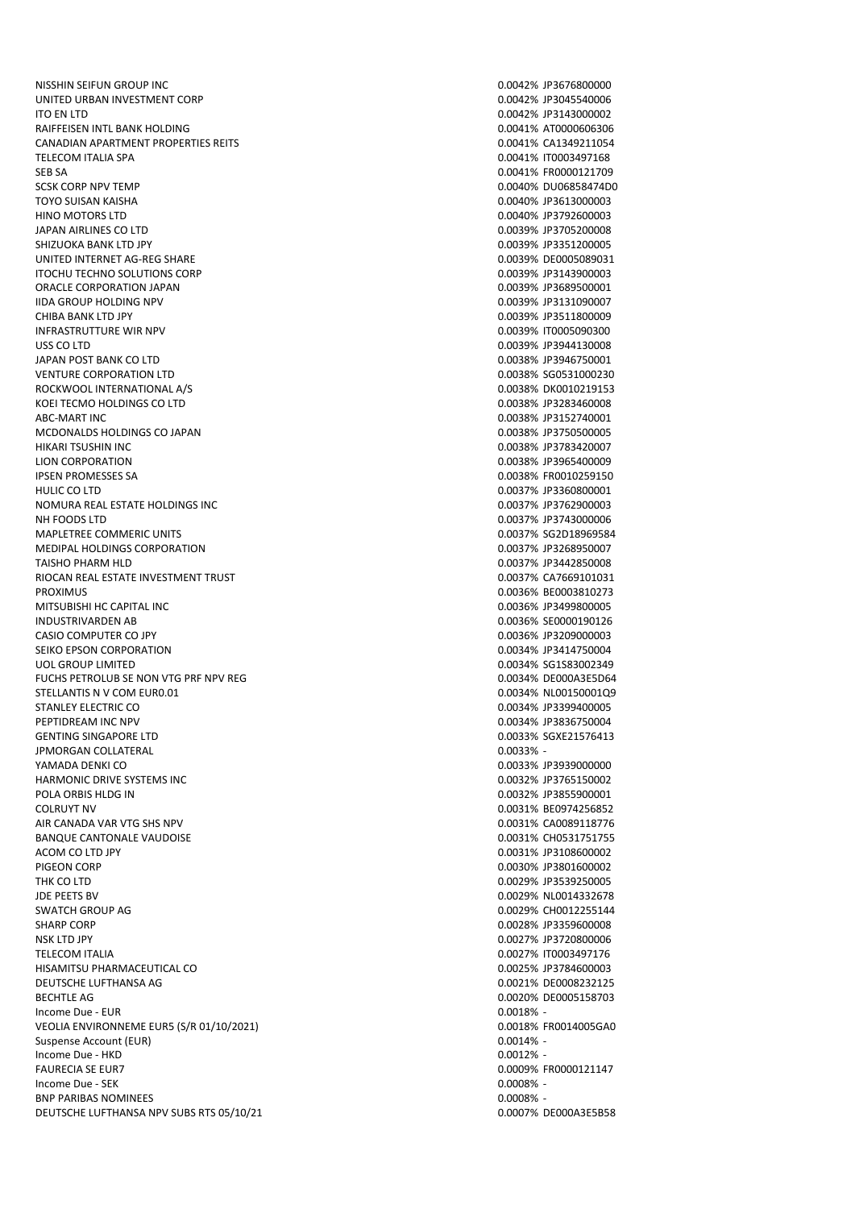NISSHIN SEIFUN GROUP INC 0.0042% JP3676800000 UNITED URBAN INVESTMENT CORP 0.0042% JP3045540006 ITO EN LTD 0.0042% JP3143000002 RAIFFEISEN INTL BANK HOLDING **CONSERVATION CONSERVATION** O.0041% AT0000606306 CANADIAN APARTMENT PROPERTIES REITS 0.0041% CA1349211054 TELECOM ITALIA SPA 0.0041% IT0003497168 SEB SA 0.0041% FR0000121709 TOYO SUISAN KAISHA 0.0040% JP3613000003 HINO MOTORS LTD 0.0040% JP3792600003 JAPAN AIRLINES CO LTD 0.0039% JP3705200008 SHIZUOKA BANK LTD JPY 0.0039% JP3351200005 UNITED INTERNET AG-REG SHARE ITOCHU TECHNO SOLUTIONS CORP **0.0039% JP3143900003** ORACLE CORPORATION JAPAN 0.0039% JP3689500001 IIDA GROUP HOLDING NPV **OUT A CONSUMER OF A CONSUMING THE CONSUMING OF A CONSUMING OF A CONSUMING OF A CONSUMING OF A CONSUMING OF A CONSUMING OF A CONSUMING OF A CONSUMING OF A CONSUMING OF A CONSUMING OF A CONSUMING OF A** CHIBA BANK LTD JPY 0.0039% JP3511800009 INFRASTRUTTURE WIR NPV 0.0039% IT0005090300 USS CO LTD 0.0039% JP3944130008 JAPAN POST BANK CO LTD 0.0038% JP3946750001 VENTURE CORPORATION LTD 0.0038% SG0531000230 ROCKWOOL INTERNATIONAL A/S 0.0038% DK0010219153 KOEI TECMO HOLDINGS CO LTD **1.000008 CO LTD** 0.0038% JP3283460008 ABC-MART INC 0.0038% JP3152740001 MCDONALDS HOLDINGS CO JAPAN 0.0038% JP3750500005 LION CORPORATION 0.0038% JP3965400009 IPSEN PROMESSES SA 0.0038% FR0010259150 HULIC CO LTD 0.0037% JP3360800001 NOMURA REAL ESTATE HOLDINGS INC 0.0037% JP3762900003 NH FOODS LTD 0.0037% JP3743000006 MAPLETREE COMMERIC UNITS 0.0037% SG2D18969584 MEDIPAL HOLDINGS CORPORATION 0.0037% JP3268950007 TAISHO PHARM HLD<br>RIOCAN REAL ESTATE INVESTMENT TRUST<br>RIOCAN REAL ESTATE INVESTMENT TRUST RIOCAN REAL ESTATE INVESTMENT TRUST PROXIMUS<br>
PROXIMUS 0.0036% BE0003810273<br>
MITSURISHI HC CAPITAL INC MITSUBISHI HC CAPITAL INC INDUSTRIVARDEN AB 0.0036% SE0000190126 CASIO COMPUTER CO JPY 0.0036% JP3209000003 SEIKO EPSON CORPORATION UOL GROUP LIMITED 0.0034% SG1S83002349 FUCHS PETROLUB SE NON VTG PRF NPV REG 0.0034% DE000A3E5D64 STELLANTIS N V COM EUR0.01 0.0034% NL00150001Q9 STANLEY ELECTRIC CO CONTROLLEY AND CONTROLLEY CONTROLLEY AND CONTROLLEY AND CONTROLLEY AND CONTROLLEY AND CONTROLLEY PEPTIDREAM INC NPV 0.0034% JP3836750004 GENTING SINGAPORE LTD<br>1PMORGAN COLLATERAL 1PMORGAN COLLATERAL 1PMORGAN COLLATERAL 1PMORGAN COLLATERAL **IPMORGAN COLLATERAL** YAMADA DENKI CO 0.0033% JP3939000000 HARMONIC DRIVE SYSTEMS INC **CONTROL** CONSUMING THE CONSUMING ON A GRANIC DRIVE SYSTEMS INC POLA ORBIS HLDG IN 0.0032% JP3855900001 COLRUYT NV 0.0031% BE0974256852 AIR CANADA VAR VTG SHS NPV 0.0031% CA0089118776 BANQUE CANTONALE VAUDOISE ACOM CO LTD JPY **DESIGNATION** JP3108600002 PIGEON CORP 0.0030% JP3801600002 THK CO LTD 0.0029% JP3539250005 JDE PEETS BV 0.0029% NL0014332678 SWATCH GROUP AG 0.0029% CH0012255144 SHARP CORP 0.0028% JP3359600008 NSK LTD JPY 0.0027% JP3720800006 TELECOM ITALIA 0.0027% IT0003497176 HISAMITSU PHARMACEUTICAL CO **CONTRACT CONTRACT CONTRACT CONTRACT CONTRACT CONTRACT CONTRACT CONTRACT CO** DEUTSCHE LUFTHANSA AG 6 20021 125 NOVEMBER 20021 125 NOVEMBER 20021 125 NOVEMBER 20021 125 NOVEMBER 20021 125 BECHTLE AG 0.0020% DE0005158703  $I_n = 0.0018\%$  -  $I_n = 0.0018\%$  -VEOLIA ENVIRONNEME EUR5 (S/R 01/10/2021) 0.0018% FR0014005GA0 Suspense Account (EUR) 2000 0.0014% - 2000 0.0014% - 2000 0.0014% - 2000 0.0014% - 2000 0.0014% - 2000 0.0014% Income Due - HKD 0.0012% - 1.1 and 0.0012% - 1.1 and 0.0012% - 1.1 and 0.0012% - 1.1 and 0.0012% - 1.1 and 0.0012% -FAURECIA SE EUR7 **FAURECIA SE EUR7 CONSERVATIVE SE EN ENGLISHED A CONSERVATIVE SE EN ENGLISHED A CONSERVATIVE SE EN ENGLISHED A CONSERVATIVE SERVATIVE SERVATIVE SERVATIVE SERVATIVE SERVATIVE SERVATIVE SERVATIVE SERVATIVE** Income Due - SEK 0.0008% - BNP PARIBAS NOMINEES **AND SECURE 2000 SECURE 2000 SECURE 2000 SECURE 2000 SECURE 2000 SECURE 2000 SECURE 2000 SECURE 2000 SECURE 2000 SECURE 2000 SECURE 2000 SECURE 2000 SECURE 2000 SECURE 2000 SECURE 2000 SECURE 2000 SECU** DEUTSCHE LUFTHANSA NPV SUBS RTS 05/10/21 0.0007% DE000A3E5B58

0.0040% DU06858474D0 0.0038% JP3783420007